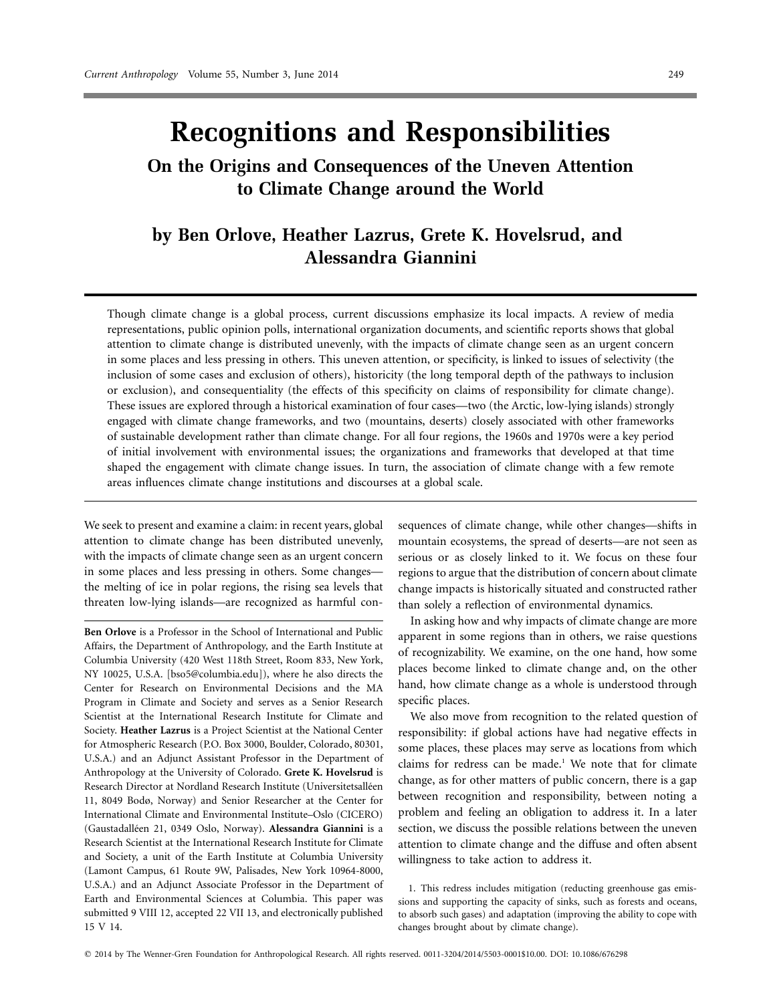**On the Origins and Consequences of the Uneven Attention to Climate Change around the World**

# **by Ben Orlove, Heather Lazrus, Grete K. Hovelsrud, and Alessandra Giannini**

Though climate change is a global process, current discussions emphasize its local impacts. A review of media representations, public opinion polls, international organization documents, and scientific reports shows that global attention to climate change is distributed unevenly, with the impacts of climate change seen as an urgent concern in some places and less pressing in others. This uneven attention, or specificity, is linked to issues of selectivity (the inclusion of some cases and exclusion of others), historicity (the long temporal depth of the pathways to inclusion or exclusion), and consequentiality (the effects of this specificity on claims of responsibility for climate change). These issues are explored through a historical examination of four cases—two (the Arctic, low-lying islands) strongly engaged with climate change frameworks, and two (mountains, deserts) closely associated with other frameworks of sustainable development rather than climate change. For all four regions, the 1960s and 1970s were a key period of initial involvement with environmental issues; the organizations and frameworks that developed at that time shaped the engagement with climate change issues. In turn, the association of climate change with a few remote areas influences climate change institutions and discourses at a global scale.

We seek to present and examine a claim: in recent years, global attention to climate change has been distributed unevenly, with the impacts of climate change seen as an urgent concern in some places and less pressing in others. Some changes the melting of ice in polar regions, the rising sea levels that threaten low-lying islands—are recognized as harmful con-

**Ben Orlove** is a Professor in the School of International and Public Affairs, the Department of Anthropology, and the Earth Institute at Columbia University (420 West 118th Street, Room 833, New York, NY 10025, U.S.A. [\[bso5@columbia.edu\]](mailto:bso5@columbia.edu)), where he also directs the Center for Research on Environmental Decisions and the MA Program in Climate and Society and serves as a Senior Research Scientist at the International Research Institute for Climate and Society. **Heather Lazrus** is a Project Scientist at the National Center for Atmospheric Research (P.O. Box 3000, Boulder, Colorado, 80301, U.S.A.) and an Adjunct Assistant Professor in the Department of Anthropology at the University of Colorado. **Grete K. Hovelsrud** is Research Director at Nordland Research Institute (Universitetsalléen 11, 8049 Bodø, Norway) and Senior Researcher at the Center for International Climate and Environmental Institute–Oslo (CICERO) (Gaustadalléen 21, 0349 Oslo, Norway). Alessandra Giannini is a Research Scientist at the International Research Institute for Climate and Society, a unit of the Earth Institute at Columbia University (Lamont Campus, 61 Route 9W, Palisades, New York 10964-8000, U.S.A.) and an Adjunct Associate Professor in the Department of Earth and Environmental Sciences at Columbia. This paper was submitted 9 VIII 12, accepted 22 VII 13, and electronically published 15 V 14.

sequences of climate change, while other changes—shifts in mountain ecosystems, the spread of deserts—are not seen as serious or as closely linked to it. We focus on these four regions to argue that the distribution of concern about climate change impacts is historically situated and constructed rather than solely a reflection of environmental dynamics.

In asking how and why impacts of climate change are more apparent in some regions than in others, we raise questions of recognizability. We examine, on the one hand, how some places become linked to climate change and, on the other hand, how climate change as a whole is understood through specific places.

We also move from recognition to the related question of responsibility: if global actions have had negative effects in some places, these places may serve as locations from which claims for redress can be made.<sup>1</sup> We note that for climate change, as for other matters of public concern, there is a gap between recognition and responsibility, between noting a problem and feeling an obligation to address it. In a later section, we discuss the possible relations between the uneven attention to climate change and the diffuse and often absent willingness to take action to address it.

1. This redress includes mitigation (reducting greenhouse gas emissions and supporting the capacity of sinks, such as forests and oceans, to absorb such gases) and adaptation (improving the ability to cope with changes brought about by climate change).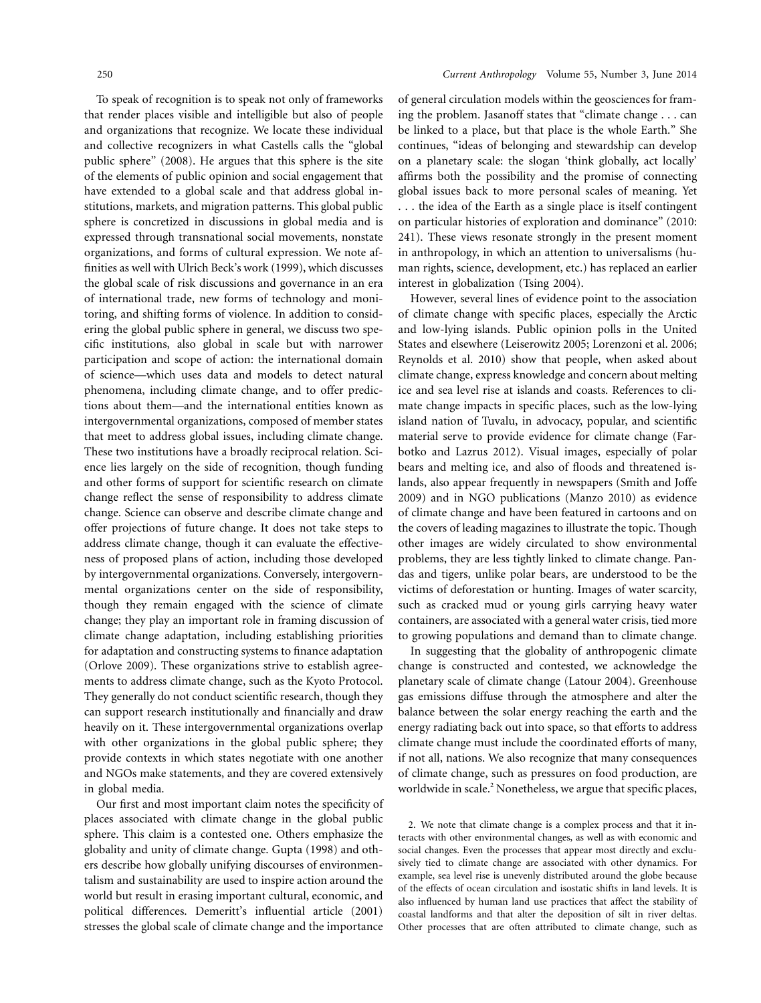To speak of recognition is to speak not only of frameworks that render places visible and intelligible but also of people and organizations that recognize. We locate these individual and collective recognizers in what Castells calls the "global public sphere" (2008). He argues that this sphere is the site of the elements of public opinion and social engagement that have extended to a global scale and that address global institutions, markets, and migration patterns. This global public sphere is concretized in discussions in global media and is expressed through transnational social movements, nonstate organizations, and forms of cultural expression. We note affinities as well with Ulrich Beck's work (1999), which discusses the global scale of risk discussions and governance in an era of international trade, new forms of technology and monitoring, and shifting forms of violence. In addition to considering the global public sphere in general, we discuss two specific institutions, also global in scale but with narrower participation and scope of action: the international domain of science—which uses data and models to detect natural phenomena, including climate change, and to offer predictions about them—and the international entities known as intergovernmental organizations, composed of member states that meet to address global issues, including climate change. These two institutions have a broadly reciprocal relation. Science lies largely on the side of recognition, though funding and other forms of support for scientific research on climate change reflect the sense of responsibility to address climate change. Science can observe and describe climate change and offer projections of future change. It does not take steps to address climate change, though it can evaluate the effectiveness of proposed plans of action, including those developed by intergovernmental organizations. Conversely, intergovernmental organizations center on the side of responsibility, though they remain engaged with the science of climate change; they play an important role in framing discussion of climate change adaptation, including establishing priorities for adaptation and constructing systems to finance adaptation (Orlove 2009). These organizations strive to establish agreements to address climate change, such as the Kyoto Protocol. They generally do not conduct scientific research, though they can support research institutionally and financially and draw heavily on it. These intergovernmental organizations overlap with other organizations in the global public sphere; they provide contexts in which states negotiate with one another and NGOs make statements, and they are covered extensively in global media.

Our first and most important claim notes the specificity of places associated with climate change in the global public sphere. This claim is a contested one. Others emphasize the globality and unity of climate change. Gupta (1998) and others describe how globally unifying discourses of environmentalism and sustainability are used to inspire action around the world but result in erasing important cultural, economic, and political differences. Demeritt's influential article (2001) stresses the global scale of climate change and the importance

of general circulation models within the geosciences for framing the problem. Jasanoff states that "climate change . . . can be linked to a place, but that place is the whole Earth." She continues, "ideas of belonging and stewardship can develop on a planetary scale: the slogan 'think globally, act locally' affirms both the possibility and the promise of connecting global issues back to more personal scales of meaning. Yet . . . the idea of the Earth as a single place is itself contingent on particular histories of exploration and dominance" (2010: 241). These views resonate strongly in the present moment in anthropology, in which an attention to universalisms (human rights, science, development, etc.) has replaced an earlier interest in globalization (Tsing 2004).

However, several lines of evidence point to the association of climate change with specific places, especially the Arctic and low-lying islands. Public opinion polls in the United States and elsewhere (Leiserowitz 2005; Lorenzoni et al. 2006; Reynolds et al. 2010) show that people, when asked about climate change, express knowledge and concern about melting ice and sea level rise at islands and coasts. References to climate change impacts in specific places, such as the low-lying island nation of Tuvalu, in advocacy, popular, and scientific material serve to provide evidence for climate change (Farbotko and Lazrus 2012). Visual images, especially of polar bears and melting ice, and also of floods and threatened islands, also appear frequently in newspapers (Smith and Joffe 2009) and in NGO publications (Manzo 2010) as evidence of climate change and have been featured in cartoons and on the covers of leading magazines to illustrate the topic. Though other images are widely circulated to show environmental problems, they are less tightly linked to climate change. Pandas and tigers, unlike polar bears, are understood to be the victims of deforestation or hunting. Images of water scarcity, such as cracked mud or young girls carrying heavy water containers, are associated with a general water crisis, tied more to growing populations and demand than to climate change.

In suggesting that the globality of anthropogenic climate change is constructed and contested, we acknowledge the planetary scale of climate change (Latour 2004). Greenhouse gas emissions diffuse through the atmosphere and alter the balance between the solar energy reaching the earth and the energy radiating back out into space, so that efforts to address climate change must include the coordinated efforts of many, if not all, nations. We also recognize that many consequences of climate change, such as pressures on food production, are worldwide in scale.<sup>2</sup> Nonetheless, we argue that specific places,

2. We note that climate change is a complex process and that it interacts with other environmental changes, as well as with economic and social changes. Even the processes that appear most directly and exclusively tied to climate change are associated with other dynamics. For example, sea level rise is unevenly distributed around the globe because of the effects of ocean circulation and isostatic shifts in land levels. It is also influenced by human land use practices that affect the stability of coastal landforms and that alter the deposition of silt in river deltas. Other processes that are often attributed to climate change, such as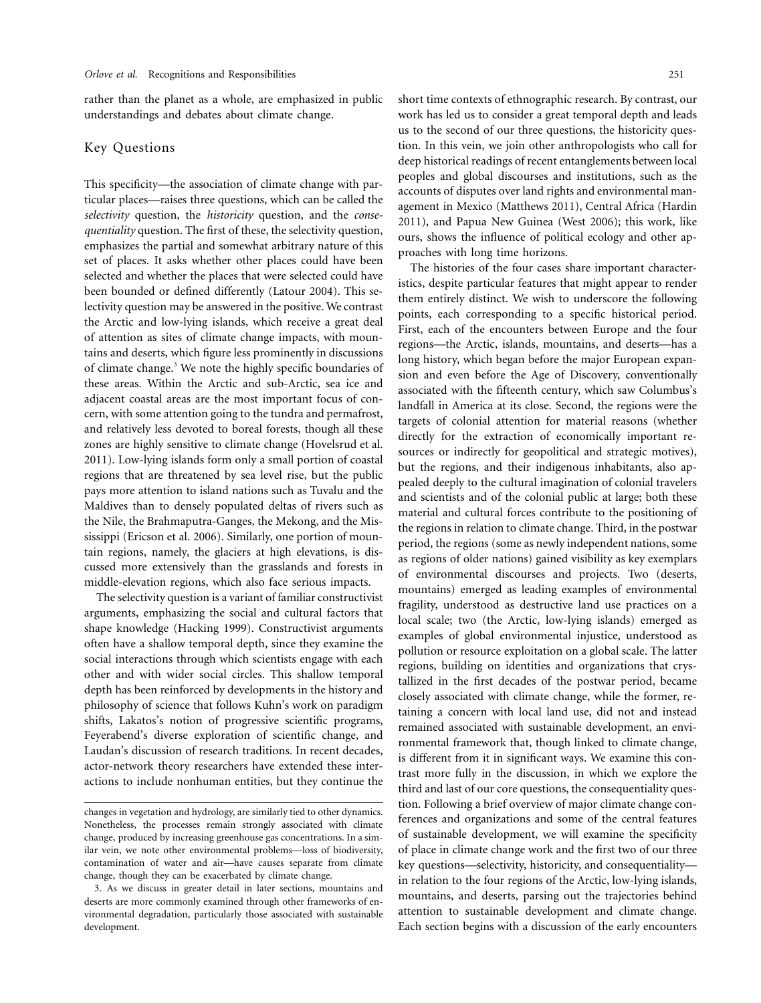rather than the planet as a whole, are emphasized in public understandings and debates about climate change.

## Key Questions

This specificity—the association of climate change with particular places—raises three questions, which can be called the *selectivity* question, the *historicity* question, and the *consequentiality* question. The first of these, the selectivity question, emphasizes the partial and somewhat arbitrary nature of this set of places. It asks whether other places could have been selected and whether the places that were selected could have been bounded or defined differently (Latour 2004). This selectivity question may be answered in the positive. We contrast the Arctic and low-lying islands, which receive a great deal of attention as sites of climate change impacts, with mountains and deserts, which figure less prominently in discussions of climate change.3 We note the highly specific boundaries of these areas. Within the Arctic and sub-Arctic, sea ice and adjacent coastal areas are the most important focus of concern, with some attention going to the tundra and permafrost, and relatively less devoted to boreal forests, though all these zones are highly sensitive to climate change (Hovelsrud et al. 2011). Low-lying islands form only a small portion of coastal regions that are threatened by sea level rise, but the public pays more attention to island nations such as Tuvalu and the Maldives than to densely populated deltas of rivers such as the Nile, the Brahmaputra-Ganges, the Mekong, and the Mississippi (Ericson et al. 2006). Similarly, one portion of mountain regions, namely, the glaciers at high elevations, is discussed more extensively than the grasslands and forests in middle-elevation regions, which also face serious impacts.

The selectivity question is a variant of familiar constructivist arguments, emphasizing the social and cultural factors that shape knowledge (Hacking 1999). Constructivist arguments often have a shallow temporal depth, since they examine the social interactions through which scientists engage with each other and with wider social circles. This shallow temporal depth has been reinforced by developments in the history and philosophy of science that follows Kuhn's work on paradigm shifts, Lakatos's notion of progressive scientific programs, Feyerabend's diverse exploration of scientific change, and Laudan's discussion of research traditions. In recent decades, actor-network theory researchers have extended these interactions to include nonhuman entities, but they continue the

short time contexts of ethnographic research. By contrast, our work has led us to consider a great temporal depth and leads us to the second of our three questions, the historicity question. In this vein, we join other anthropologists who call for deep historical readings of recent entanglements between local peoples and global discourses and institutions, such as the accounts of disputes over land rights and environmental management in Mexico (Matthews 2011), Central Africa (Hardin 2011), and Papua New Guinea (West 2006); this work, like ours, shows the influence of political ecology and other approaches with long time horizons.

The histories of the four cases share important characteristics, despite particular features that might appear to render them entirely distinct. We wish to underscore the following points, each corresponding to a specific historical period. First, each of the encounters between Europe and the four regions—the Arctic, islands, mountains, and deserts—has a long history, which began before the major European expansion and even before the Age of Discovery, conventionally associated with the fifteenth century, which saw Columbus's landfall in America at its close. Second, the regions were the targets of colonial attention for material reasons (whether directly for the extraction of economically important resources or indirectly for geopolitical and strategic motives), but the regions, and their indigenous inhabitants, also appealed deeply to the cultural imagination of colonial travelers and scientists and of the colonial public at large; both these material and cultural forces contribute to the positioning of the regions in relation to climate change. Third, in the postwar period, the regions (some as newly independent nations, some as regions of older nations) gained visibility as key exemplars of environmental discourses and projects. Two (deserts, mountains) emerged as leading examples of environmental fragility, understood as destructive land use practices on a local scale; two (the Arctic, low-lying islands) emerged as examples of global environmental injustice, understood as pollution or resource exploitation on a global scale. The latter regions, building on identities and organizations that crystallized in the first decades of the postwar period, became closely associated with climate change, while the former, retaining a concern with local land use, did not and instead remained associated with sustainable development, an environmental framework that, though linked to climate change, is different from it in significant ways. We examine this contrast more fully in the discussion, in which we explore the third and last of our core questions, the consequentiality question. Following a brief overview of major climate change conferences and organizations and some of the central features of sustainable development, we will examine the specificity of place in climate change work and the first two of our three key questions—selectivity, historicity, and consequentiality in relation to the four regions of the Arctic, low-lying islands, mountains, and deserts, parsing out the trajectories behind attention to sustainable development and climate change. Each section begins with a discussion of the early encounters

changes in vegetation and hydrology, are similarly tied to other dynamics. Nonetheless, the processes remain strongly associated with climate change, produced by increasing greenhouse gas concentrations. In a similar vein, we note other environmental problems—loss of biodiversity, contamination of water and air—have causes separate from climate change, though they can be exacerbated by climate change.

<sup>3.</sup> As we discuss in greater detail in later sections, mountains and deserts are more commonly examined through other frameworks of environmental degradation, particularly those associated with sustainable development.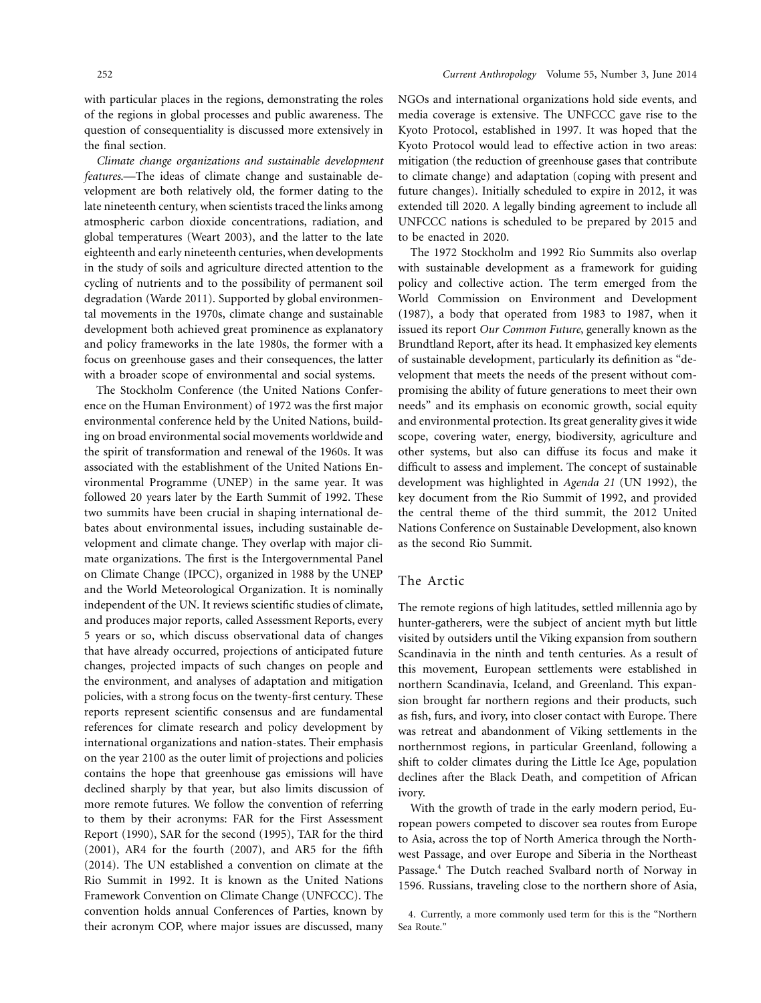with particular places in the regions, demonstrating the roles of the regions in global processes and public awareness. The question of consequentiality is discussed more extensively in the final section.

*Climate change organizations and sustainable development features*.—The ideas of climate change and sustainable development are both relatively old, the former dating to the late nineteenth century, when scientists traced the links among atmospheric carbon dioxide concentrations, radiation, and global temperatures (Weart 2003), and the latter to the late eighteenth and early nineteenth centuries, when developments in the study of soils and agriculture directed attention to the cycling of nutrients and to the possibility of permanent soil degradation (Warde 2011). Supported by global environmental movements in the 1970s, climate change and sustainable development both achieved great prominence as explanatory and policy frameworks in the late 1980s, the former with a focus on greenhouse gases and their consequences, the latter with a broader scope of environmental and social systems.

The Stockholm Conference (the United Nations Conference on the Human Environment) of 1972 was the first major environmental conference held by the United Nations, building on broad environmental social movements worldwide and the spirit of transformation and renewal of the 1960s. It was associated with the establishment of the United Nations Environmental Programme (UNEP) in the same year. It was followed 20 years later by the Earth Summit of 1992. These two summits have been crucial in shaping international debates about environmental issues, including sustainable development and climate change. They overlap with major climate organizations. The first is the Intergovernmental Panel on Climate Change (IPCC), organized in 1988 by the UNEP and the World Meteorological Organization. It is nominally independent of the UN. It reviews scientific studies of climate, and produces major reports, called Assessment Reports, every 5 years or so, which discuss observational data of changes that have already occurred, projections of anticipated future changes, projected impacts of such changes on people and the environment, and analyses of adaptation and mitigation policies, with a strong focus on the twenty-first century. These reports represent scientific consensus and are fundamental references for climate research and policy development by international organizations and nation-states. Their emphasis on the year 2100 as the outer limit of projections and policies contains the hope that greenhouse gas emissions will have declined sharply by that year, but also limits discussion of more remote futures. We follow the convention of referring to them by their acronyms: FAR for the First Assessment Report (1990), SAR for the second (1995), TAR for the third (2001), AR4 for the fourth (2007), and AR5 for the fifth (2014). The UN established a convention on climate at the Rio Summit in 1992. It is known as the United Nations Framework Convention on Climate Change (UNFCCC). The convention holds annual Conferences of Parties, known by their acronym COP, where major issues are discussed, many NGOs and international organizations hold side events, and media coverage is extensive. The UNFCCC gave rise to the Kyoto Protocol, established in 1997. It was hoped that the Kyoto Protocol would lead to effective action in two areas: mitigation (the reduction of greenhouse gases that contribute to climate change) and adaptation (coping with present and future changes). Initially scheduled to expire in 2012, it was extended till 2020. A legally binding agreement to include all UNFCCC nations is scheduled to be prepared by 2015 and to be enacted in 2020.

The 1972 Stockholm and 1992 Rio Summits also overlap with sustainable development as a framework for guiding policy and collective action. The term emerged from the World Commission on Environment and Development (1987), a body that operated from 1983 to 1987, when it issued its report *Our Common Future*, generally known as the Brundtland Report, after its head. It emphasized key elements of sustainable development, particularly its definition as "development that meets the needs of the present without compromising the ability of future generations to meet their own needs" and its emphasis on economic growth, social equity and environmental protection. Its great generality gives it wide scope, covering water, energy, biodiversity, agriculture and other systems, but also can diffuse its focus and make it difficult to assess and implement. The concept of sustainable development was highlighted in *Agenda 21* (UN 1992), the key document from the Rio Summit of 1992, and provided the central theme of the third summit, the 2012 United Nations Conference on Sustainable Development, also known as the second Rio Summit.

### The Arctic

The remote regions of high latitudes, settled millennia ago by hunter-gatherers, were the subject of ancient myth but little visited by outsiders until the Viking expansion from southern Scandinavia in the ninth and tenth centuries. As a result of this movement, European settlements were established in northern Scandinavia, Iceland, and Greenland. This expansion brought far northern regions and their products, such as fish, furs, and ivory, into closer contact with Europe. There was retreat and abandonment of Viking settlements in the northernmost regions, in particular Greenland, following a shift to colder climates during the Little Ice Age, population declines after the Black Death, and competition of African ivory.

With the growth of trade in the early modern period, European powers competed to discover sea routes from Europe to Asia, across the top of North America through the Northwest Passage, and over Europe and Siberia in the Northeast Passage.4 The Dutch reached Svalbard north of Norway in 1596. Russians, traveling close to the northern shore of Asia,

<sup>4.</sup> Currently, a more commonly used term for this is the "Northern Sea Route."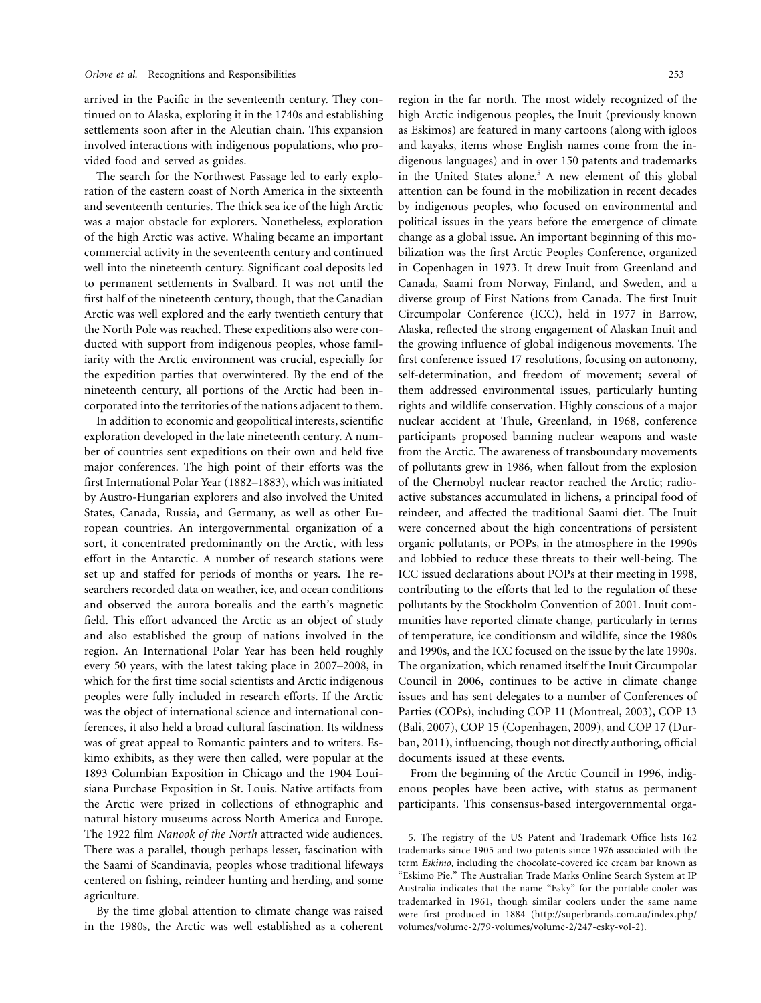arrived in the Pacific in the seventeenth century. They continued on to Alaska, exploring it in the 1740s and establishing settlements soon after in the Aleutian chain. This expansion involved interactions with indigenous populations, who provided food and served as guides.

The search for the Northwest Passage led to early exploration of the eastern coast of North America in the sixteenth and seventeenth centuries. The thick sea ice of the high Arctic was a major obstacle for explorers. Nonetheless, exploration of the high Arctic was active. Whaling became an important commercial activity in the seventeenth century and continued well into the nineteenth century. Significant coal deposits led to permanent settlements in Svalbard. It was not until the first half of the nineteenth century, though, that the Canadian Arctic was well explored and the early twentieth century that the North Pole was reached. These expeditions also were conducted with support from indigenous peoples, whose familiarity with the Arctic environment was crucial, especially for the expedition parties that overwintered. By the end of the nineteenth century, all portions of the Arctic had been incorporated into the territories of the nations adjacent to them.

In addition to economic and geopolitical interests, scientific exploration developed in the late nineteenth century. A number of countries sent expeditions on their own and held five major conferences. The high point of their efforts was the first International Polar Year (1882–1883), which was initiated by Austro-Hungarian explorers and also involved the United States, Canada, Russia, and Germany, as well as other European countries. An intergovernmental organization of a sort, it concentrated predominantly on the Arctic, with less effort in the Antarctic. A number of research stations were set up and staffed for periods of months or years. The researchers recorded data on weather, ice, and ocean conditions and observed the aurora borealis and the earth's magnetic field. This effort advanced the Arctic as an object of study and also established the group of nations involved in the region. An International Polar Year has been held roughly every 50 years, with the latest taking place in 2007–2008, in which for the first time social scientists and Arctic indigenous peoples were fully included in research efforts. If the Arctic was the object of international science and international conferences, it also held a broad cultural fascination. Its wildness was of great appeal to Romantic painters and to writers. Eskimo exhibits, as they were then called, were popular at the 1893 Columbian Exposition in Chicago and the 1904 Louisiana Purchase Exposition in St. Louis. Native artifacts from the Arctic were prized in collections of ethnographic and natural history museums across North America and Europe. The 1922 film *Nanook of the North* attracted wide audiences. There was a parallel, though perhaps lesser, fascination with the Saami of Scandinavia, peoples whose traditional lifeways centered on fishing, reindeer hunting and herding, and some agriculture.

By the time global attention to climate change was raised in the 1980s, the Arctic was well established as a coherent region in the far north. The most widely recognized of the high Arctic indigenous peoples, the Inuit (previously known as Eskimos) are featured in many cartoons (along with igloos and kayaks, items whose English names come from the indigenous languages) and in over 150 patents and trademarks in the United States alone.<sup>5</sup> A new element of this global attention can be found in the mobilization in recent decades by indigenous peoples, who focused on environmental and political issues in the years before the emergence of climate change as a global issue. An important beginning of this mobilization was the first Arctic Peoples Conference, organized in Copenhagen in 1973. It drew Inuit from Greenland and Canada, Saami from Norway, Finland, and Sweden, and a diverse group of First Nations from Canada. The first Inuit Circumpolar Conference (ICC), held in 1977 in Barrow, Alaska, reflected the strong engagement of Alaskan Inuit and the growing influence of global indigenous movements. The first conference issued 17 resolutions, focusing on autonomy, self-determination, and freedom of movement; several of them addressed environmental issues, particularly hunting rights and wildlife conservation. Highly conscious of a major nuclear accident at Thule, Greenland, in 1968, conference participants proposed banning nuclear weapons and waste from the Arctic. The awareness of transboundary movements of pollutants grew in 1986, when fallout from the explosion of the Chernobyl nuclear reactor reached the Arctic; radioactive substances accumulated in lichens, a principal food of reindeer, and affected the traditional Saami diet. The Inuit were concerned about the high concentrations of persistent organic pollutants, or POPs, in the atmosphere in the 1990s and lobbied to reduce these threats to their well-being. The ICC issued declarations about POPs at their meeting in 1998, contributing to the efforts that led to the regulation of these pollutants by the Stockholm Convention of 2001. Inuit communities have reported climate change, particularly in terms of temperature, ice conditionsm and wildlife, since the 1980s and 1990s, and the ICC focused on the issue by the late 1990s. The organization, which renamed itself the Inuit Circumpolar Council in 2006, continues to be active in climate change issues and has sent delegates to a number of Conferences of Parties (COPs), including COP 11 (Montreal, 2003), COP 13 (Bali, 2007), COP 15 (Copenhagen, 2009), and COP 17 (Durban, 2011), influencing, though not directly authoring, official documents issued at these events.

From the beginning of the Arctic Council in 1996, indigenous peoples have been active, with status as permanent participants. This consensus-based intergovernmental orga-

<sup>5.</sup> The registry of the US Patent and Trademark Office lists 162 trademarks since 1905 and two patents since 1976 associated with the term *Eskimo*, including the chocolate-covered ice cream bar known as "Eskimo Pie." The Australian Trade Marks Online Search System at IP Australia indicates that the name "Esky" for the portable cooler was trademarked in 1961, though similar coolers under the same name were first produced in 1884 [\(http://superbrands.com.au/index.php/](http://superbrands.com.au/index.php/volumes/volume-2/79-volumes/volume-2/247-esky-vol-2) [volumes/volume-2/79-volumes/volume-2/247-esky-vol-2\)](http://superbrands.com.au/index.php/volumes/volume-2/79-volumes/volume-2/247-esky-vol-2).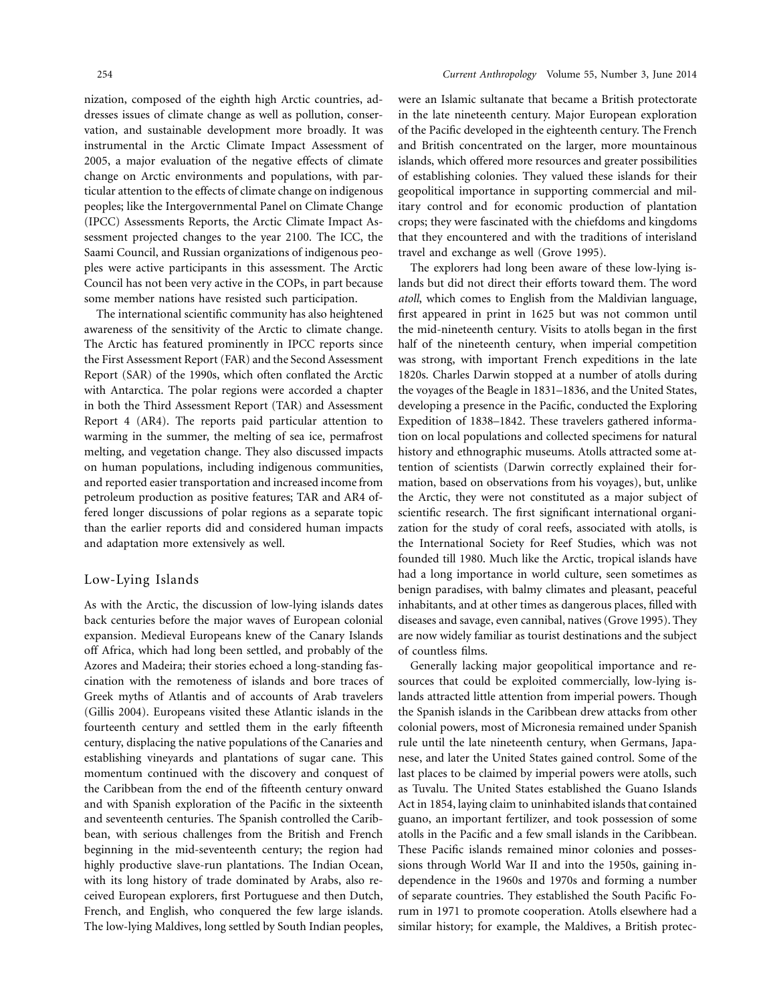nization, composed of the eighth high Arctic countries, addresses issues of climate change as well as pollution, conservation, and sustainable development more broadly. It was instrumental in the Arctic Climate Impact Assessment of 2005, a major evaluation of the negative effects of climate change on Arctic environments and populations, with particular attention to the effects of climate change on indigenous peoples; like the Intergovernmental Panel on Climate Change (IPCC) Assessments Reports, the Arctic Climate Impact Assessment projected changes to the year 2100. The ICC, the Saami Council, and Russian organizations of indigenous peoples were active participants in this assessment. The Arctic Council has not been very active in the COPs, in part because some member nations have resisted such participation.

The international scientific community has also heightened awareness of the sensitivity of the Arctic to climate change. The Arctic has featured prominently in IPCC reports since the First Assessment Report (FAR) and the Second Assessment Report (SAR) of the 1990s, which often conflated the Arctic with Antarctica. The polar regions were accorded a chapter in both the Third Assessment Report (TAR) and Assessment Report 4 (AR4). The reports paid particular attention to warming in the summer, the melting of sea ice, permafrost melting, and vegetation change. They also discussed impacts on human populations, including indigenous communities, and reported easier transportation and increased income from petroleum production as positive features; TAR and AR4 offered longer discussions of polar regions as a separate topic than the earlier reports did and considered human impacts and adaptation more extensively as well.

### Low-Lying Islands

As with the Arctic, the discussion of low-lying islands dates back centuries before the major waves of European colonial expansion. Medieval Europeans knew of the Canary Islands off Africa, which had long been settled, and probably of the Azores and Madeira; their stories echoed a long-standing fascination with the remoteness of islands and bore traces of Greek myths of Atlantis and of accounts of Arab travelers (Gillis 2004). Europeans visited these Atlantic islands in the fourteenth century and settled them in the early fifteenth century, displacing the native populations of the Canaries and establishing vineyards and plantations of sugar cane. This momentum continued with the discovery and conquest of the Caribbean from the end of the fifteenth century onward and with Spanish exploration of the Pacific in the sixteenth and seventeenth centuries. The Spanish controlled the Caribbean, with serious challenges from the British and French beginning in the mid-seventeenth century; the region had highly productive slave-run plantations. The Indian Ocean, with its long history of trade dominated by Arabs, also received European explorers, first Portuguese and then Dutch, French, and English, who conquered the few large islands. The low-lying Maldives, long settled by South Indian peoples,

were an Islamic sultanate that became a British protectorate in the late nineteenth century. Major European exploration of the Pacific developed in the eighteenth century. The French and British concentrated on the larger, more mountainous islands, which offered more resources and greater possibilities of establishing colonies. They valued these islands for their geopolitical importance in supporting commercial and military control and for economic production of plantation crops; they were fascinated with the chiefdoms and kingdoms that they encountered and with the traditions of interisland travel and exchange as well (Grove 1995).

The explorers had long been aware of these low-lying islands but did not direct their efforts toward them. The word *atoll*, which comes to English from the Maldivian language, first appeared in print in 1625 but was not common until the mid-nineteenth century. Visits to atolls began in the first half of the nineteenth century, when imperial competition was strong, with important French expeditions in the late 1820s. Charles Darwin stopped at a number of atolls during the voyages of the Beagle in 1831–1836, and the United States, developing a presence in the Pacific, conducted the Exploring Expedition of 1838–1842. These travelers gathered information on local populations and collected specimens for natural history and ethnographic museums. Atolls attracted some attention of scientists (Darwin correctly explained their formation, based on observations from his voyages), but, unlike the Arctic, they were not constituted as a major subject of scientific research. The first significant international organization for the study of coral reefs, associated with atolls, is the International Society for Reef Studies, which was not founded till 1980. Much like the Arctic, tropical islands have had a long importance in world culture, seen sometimes as benign paradises, with balmy climates and pleasant, peaceful inhabitants, and at other times as dangerous places, filled with diseases and savage, even cannibal, natives (Grove 1995). They are now widely familiar as tourist destinations and the subject of countless films.

Generally lacking major geopolitical importance and resources that could be exploited commercially, low-lying islands attracted little attention from imperial powers. Though the Spanish islands in the Caribbean drew attacks from other colonial powers, most of Micronesia remained under Spanish rule until the late nineteenth century, when Germans, Japanese, and later the United States gained control. Some of the last places to be claimed by imperial powers were atolls, such as Tuvalu. The United States established the Guano Islands Act in 1854, laying claim to uninhabited islands that contained guano, an important fertilizer, and took possession of some atolls in the Pacific and a few small islands in the Caribbean. These Pacific islands remained minor colonies and possessions through World War II and into the 1950s, gaining independence in the 1960s and 1970s and forming a number of separate countries. They established the South Pacific Forum in 1971 to promote cooperation. Atolls elsewhere had a similar history; for example, the Maldives, a British protec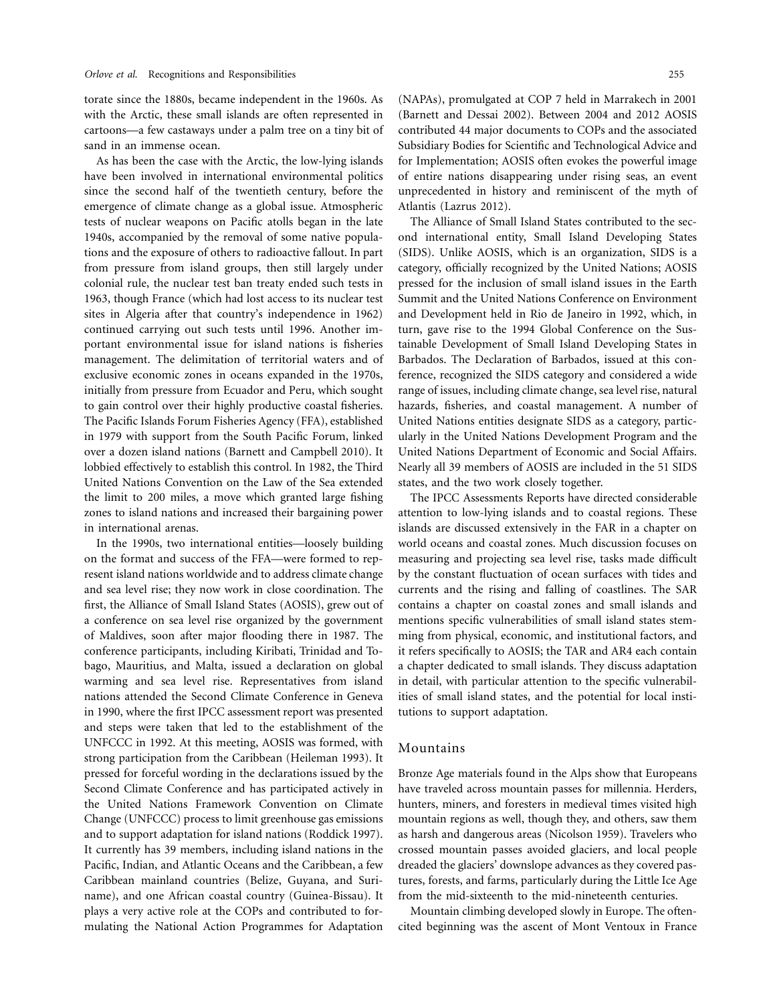torate since the 1880s, became independent in the 1960s. As with the Arctic, these small islands are often represented in cartoons—a few castaways under a palm tree on a tiny bit of sand in an immense ocean.

As has been the case with the Arctic, the low-lying islands have been involved in international environmental politics since the second half of the twentieth century, before the emergence of climate change as a global issue. Atmospheric tests of nuclear weapons on Pacific atolls began in the late 1940s, accompanied by the removal of some native populations and the exposure of others to radioactive fallout. In part from pressure from island groups, then still largely under colonial rule, the nuclear test ban treaty ended such tests in 1963, though France (which had lost access to its nuclear test sites in Algeria after that country's independence in 1962) continued carrying out such tests until 1996. Another important environmental issue for island nations is fisheries management. The delimitation of territorial waters and of exclusive economic zones in oceans expanded in the 1970s, initially from pressure from Ecuador and Peru, which sought to gain control over their highly productive coastal fisheries. The Pacific Islands Forum Fisheries Agency (FFA), established in 1979 with support from the South Pacific Forum, linked over a dozen island nations (Barnett and Campbell 2010). It lobbied effectively to establish this control. In 1982, the Third United Nations Convention on the Law of the Sea extended the limit to 200 miles, a move which granted large fishing zones to island nations and increased their bargaining power in international arenas.

In the 1990s, two international entities—loosely building on the format and success of the FFA—were formed to represent island nations worldwide and to address climate change and sea level rise; they now work in close coordination. The first, the Alliance of Small Island States (AOSIS), grew out of a conference on sea level rise organized by the government of Maldives, soon after major flooding there in 1987. The conference participants, including Kiribati, Trinidad and Tobago, Mauritius, and Malta, issued a declaration on global warming and sea level rise. Representatives from island nations attended the Second Climate Conference in Geneva in 1990, where the first IPCC assessment report was presented and steps were taken that led to the establishment of the UNFCCC in 1992. At this meeting, AOSIS was formed, with strong participation from the Caribbean (Heileman 1993). It pressed for forceful wording in the declarations issued by the Second Climate Conference and has participated actively in the United Nations Framework Convention on Climate Change (UNFCCC) process to limit greenhouse gas emissions and to support adaptation for island nations (Roddick 1997). It currently has 39 members, including island nations in the Pacific, Indian, and Atlantic Oceans and the Caribbean, a few Caribbean mainland countries (Belize, Guyana, and Suriname), and one African coastal country (Guinea-Bissau). It plays a very active role at the COPs and contributed to formulating the National Action Programmes for Adaptation

(NAPAs), promulgated at COP 7 held in Marrakech in 2001 (Barnett and Dessai 2002). Between 2004 and 2012 AOSIS contributed 44 major documents to COPs and the associated Subsidiary Bodies for Scientific and Technological Advice and for Implementation; AOSIS often evokes the powerful image of entire nations disappearing under rising seas, an event unprecedented in history and reminiscent of the myth of Atlantis (Lazrus 2012).

The Alliance of Small Island States contributed to the second international entity, Small Island Developing States (SIDS). Unlike AOSIS, which is an organization, SIDS is a category, officially recognized by the United Nations; AOSIS pressed for the inclusion of small island issues in the Earth Summit and the United Nations Conference on Environment and Development held in Rio de Janeiro in 1992, which, in turn, gave rise to the 1994 Global Conference on the Sustainable Development of Small Island Developing States in Barbados. The Declaration of Barbados, issued at this conference, recognized the SIDS category and considered a wide range of issues, including climate change, sea level rise, natural hazards, fisheries, and coastal management. A number of United Nations entities designate SIDS as a category, particularly in the United Nations Development Program and the United Nations Department of Economic and Social Affairs. Nearly all 39 members of AOSIS are included in the 51 SIDS states, and the two work closely together.

The IPCC Assessments Reports have directed considerable attention to low-lying islands and to coastal regions. These islands are discussed extensively in the FAR in a chapter on world oceans and coastal zones. Much discussion focuses on measuring and projecting sea level rise, tasks made difficult by the constant fluctuation of ocean surfaces with tides and currents and the rising and falling of coastlines. The SAR contains a chapter on coastal zones and small islands and mentions specific vulnerabilities of small island states stemming from physical, economic, and institutional factors, and it refers specifically to AOSIS; the TAR and AR4 each contain a chapter dedicated to small islands. They discuss adaptation in detail, with particular attention to the specific vulnerabilities of small island states, and the potential for local institutions to support adaptation.

#### Mountains

Bronze Age materials found in the Alps show that Europeans have traveled across mountain passes for millennia. Herders, hunters, miners, and foresters in medieval times visited high mountain regions as well, though they, and others, saw them as harsh and dangerous areas (Nicolson 1959). Travelers who crossed mountain passes avoided glaciers, and local people dreaded the glaciers' downslope advances as they covered pastures, forests, and farms, particularly during the Little Ice Age from the mid-sixteenth to the mid-nineteenth centuries.

Mountain climbing developed slowly in Europe. The oftencited beginning was the ascent of Mont Ventoux in France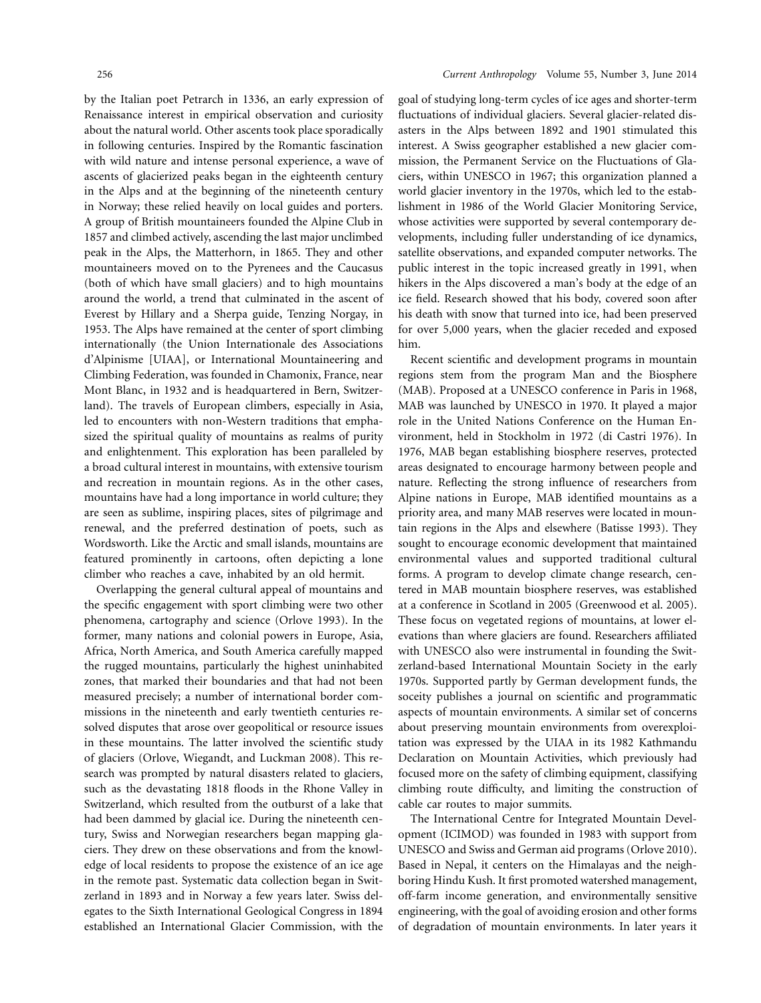by the Italian poet Petrarch in 1336, an early expression of Renaissance interest in empirical observation and curiosity about the natural world. Other ascents took place sporadically in following centuries. Inspired by the Romantic fascination with wild nature and intense personal experience, a wave of ascents of glacierized peaks began in the eighteenth century in the Alps and at the beginning of the nineteenth century in Norway; these relied heavily on local guides and porters. A group of British mountaineers founded the Alpine Club in 1857 and climbed actively, ascending the last major unclimbed peak in the Alps, the Matterhorn, in 1865. They and other mountaineers moved on to the Pyrenees and the Caucasus (both of which have small glaciers) and to high mountains around the world, a trend that culminated in the ascent of Everest by Hillary and a Sherpa guide, Tenzing Norgay, in 1953. The Alps have remained at the center of sport climbing internationally (the Union Internationale des Associations d'Alpinisme [UIAA], or International Mountaineering and Climbing Federation, was founded in Chamonix, France, near Mont Blanc, in 1932 and is headquartered in Bern, Switzerland). The travels of European climbers, especially in Asia, led to encounters with non-Western traditions that emphasized the spiritual quality of mountains as realms of purity and enlightenment. This exploration has been paralleled by a broad cultural interest in mountains, with extensive tourism and recreation in mountain regions. As in the other cases, mountains have had a long importance in world culture; they are seen as sublime, inspiring places, sites of pilgrimage and renewal, and the preferred destination of poets, such as Wordsworth. Like the Arctic and small islands, mountains are featured prominently in cartoons, often depicting a lone climber who reaches a cave, inhabited by an old hermit.

Overlapping the general cultural appeal of mountains and the specific engagement with sport climbing were two other phenomena, cartography and science (Orlove 1993). In the former, many nations and colonial powers in Europe, Asia, Africa, North America, and South America carefully mapped the rugged mountains, particularly the highest uninhabited zones, that marked their boundaries and that had not been measured precisely; a number of international border commissions in the nineteenth and early twentieth centuries resolved disputes that arose over geopolitical or resource issues in these mountains. The latter involved the scientific study of glaciers (Orlove, Wiegandt, and Luckman 2008). This research was prompted by natural disasters related to glaciers, such as the devastating 1818 floods in the Rhone Valley in Switzerland, which resulted from the outburst of a lake that had been dammed by glacial ice. During the nineteenth century, Swiss and Norwegian researchers began mapping glaciers. They drew on these observations and from the knowledge of local residents to propose the existence of an ice age in the remote past. Systematic data collection began in Switzerland in 1893 and in Norway a few years later. Swiss delegates to the Sixth International Geological Congress in 1894 established an International Glacier Commission, with the goal of studying long-term cycles of ice ages and shorter-term fluctuations of individual glaciers. Several glacier-related disasters in the Alps between 1892 and 1901 stimulated this interest. A Swiss geographer established a new glacier commission, the Permanent Service on the Fluctuations of Glaciers, within UNESCO in 1967; this organization planned a world glacier inventory in the 1970s, which led to the establishment in 1986 of the World Glacier Monitoring Service, whose activities were supported by several contemporary developments, including fuller understanding of ice dynamics, satellite observations, and expanded computer networks. The public interest in the topic increased greatly in 1991, when hikers in the Alps discovered a man's body at the edge of an ice field. Research showed that his body, covered soon after his death with snow that turned into ice, had been preserved for over 5,000 years, when the glacier receded and exposed him.

Recent scientific and development programs in mountain regions stem from the program Man and the Biosphere (MAB). Proposed at a UNESCO conference in Paris in 1968, MAB was launched by UNESCO in 1970. It played a major role in the United Nations Conference on the Human Environment, held in Stockholm in 1972 (di Castri 1976). In 1976, MAB began establishing biosphere reserves, protected areas designated to encourage harmony between people and nature. Reflecting the strong influence of researchers from Alpine nations in Europe, MAB identified mountains as a priority area, and many MAB reserves were located in mountain regions in the Alps and elsewhere (Batisse 1993). They sought to encourage economic development that maintained environmental values and supported traditional cultural forms. A program to develop climate change research, centered in MAB mountain biosphere reserves, was established at a conference in Scotland in 2005 (Greenwood et al. 2005). These focus on vegetated regions of mountains, at lower elevations than where glaciers are found. Researchers affiliated with UNESCO also were instrumental in founding the Switzerland-based International Mountain Society in the early 1970s. Supported partly by German development funds, the soceity publishes a journal on scientific and programmatic aspects of mountain environments. A similar set of concerns about preserving mountain environments from overexploitation was expressed by the UIAA in its 1982 Kathmandu Declaration on Mountain Activities, which previously had focused more on the safety of climbing equipment, classifying climbing route difficulty, and limiting the construction of cable car routes to major summits.

The International Centre for Integrated Mountain Development (ICIMOD) was founded in 1983 with support from UNESCO and Swiss and German aid programs (Orlove 2010). Based in Nepal, it centers on the Himalayas and the neighboring Hindu Kush. It first promoted watershed management, off-farm income generation, and environmentally sensitive engineering, with the goal of avoiding erosion and other forms of degradation of mountain environments. In later years it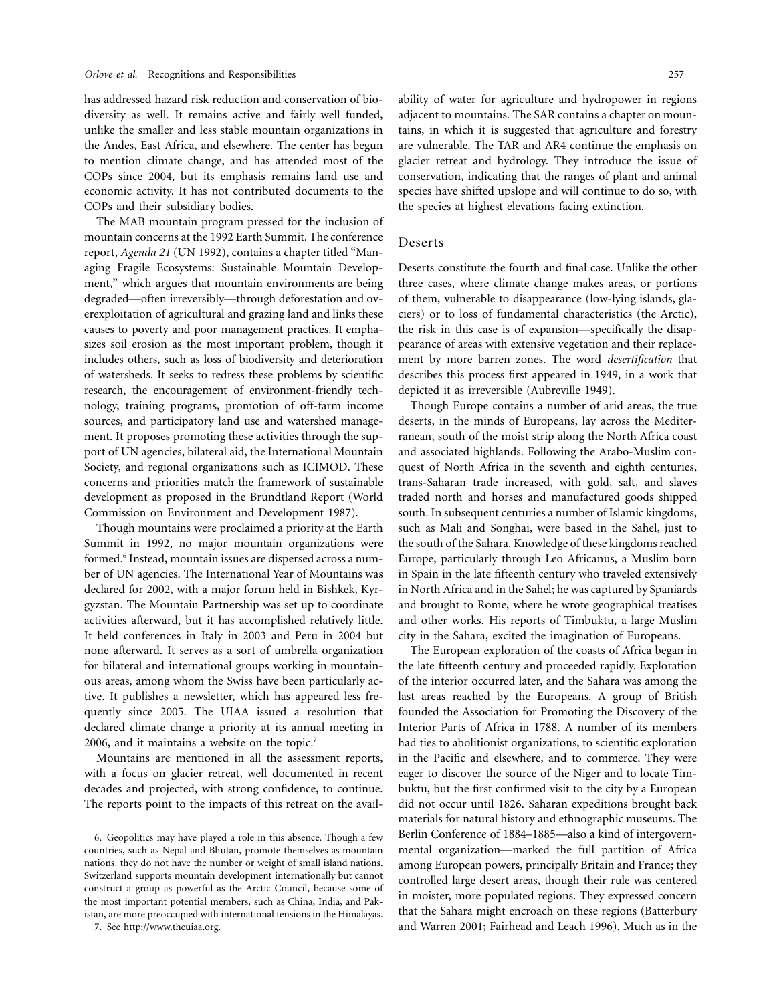has addressed hazard risk reduction and conservation of biodiversity as well. It remains active and fairly well funded, unlike the smaller and less stable mountain organizations in the Andes, East Africa, and elsewhere. The center has begun to mention climate change, and has attended most of the COPs since 2004, but its emphasis remains land use and economic activity. It has not contributed documents to the COPs and their subsidiary bodies.

The MAB mountain program pressed for the inclusion of mountain concerns at the 1992 Earth Summit. The conference report, *Agenda 21* (UN 1992), contains a chapter titled "Managing Fragile Ecosystems: Sustainable Mountain Development," which argues that mountain environments are being degraded—often irreversibly—through deforestation and overexploitation of agricultural and grazing land and links these causes to poverty and poor management practices. It emphasizes soil erosion as the most important problem, though it includes others, such as loss of biodiversity and deterioration of watersheds. It seeks to redress these problems by scientific research, the encouragement of environment-friendly technology, training programs, promotion of off-farm income sources, and participatory land use and watershed management. It proposes promoting these activities through the support of UN agencies, bilateral aid, the International Mountain Society, and regional organizations such as ICIMOD. These concerns and priorities match the framework of sustainable development as proposed in the Brundtland Report (World Commission on Environment and Development 1987).

Though mountains were proclaimed a priority at the Earth Summit in 1992, no major mountain organizations were formed.<sup>6</sup> Instead, mountain issues are dispersed across a number of UN agencies. The International Year of Mountains was declared for 2002, with a major forum held in Bishkek, Kyrgyzstan. The Mountain Partnership was set up to coordinate activities afterward, but it has accomplished relatively little. It held conferences in Italy in 2003 and Peru in 2004 but none afterward. It serves as a sort of umbrella organization for bilateral and international groups working in mountainous areas, among whom the Swiss have been particularly active. It publishes a newsletter, which has appeared less frequently since 2005. The UIAA issued a resolution that declared climate change a priority at its annual meeting in 2006, and it maintains a website on the topic.7

Mountains are mentioned in all the assessment reports, with a focus on glacier retreat, well documented in recent decades and projected, with strong confidence, to continue. The reports point to the impacts of this retreat on the availability of water for agriculture and hydropower in regions adjacent to mountains. The SAR contains a chapter on mountains, in which it is suggested that agriculture and forestry are vulnerable. The TAR and AR4 continue the emphasis on glacier retreat and hydrology. They introduce the issue of conservation, indicating that the ranges of plant and animal species have shifted upslope and will continue to do so, with the species at highest elevations facing extinction.

## Deserts

Deserts constitute the fourth and final case. Unlike the other three cases, where climate change makes areas, or portions of them, vulnerable to disappearance (low-lying islands, glaciers) or to loss of fundamental characteristics (the Arctic), the risk in this case is of expansion—specifically the disappearance of areas with extensive vegetation and their replacement by more barren zones. The word *desertification* that describes this process first appeared in 1949, in a work that depicted it as irreversible (Aubreville 1949).

Though Europe contains a number of arid areas, the true deserts, in the minds of Europeans, lay across the Mediterranean, south of the moist strip along the North Africa coast and associated highlands. Following the Arabo-Muslim conquest of North Africa in the seventh and eighth centuries, trans-Saharan trade increased, with gold, salt, and slaves traded north and horses and manufactured goods shipped south. In subsequent centuries a number of Islamic kingdoms, such as Mali and Songhai, were based in the Sahel, just to the south of the Sahara. Knowledge of these kingdoms reached Europe, particularly through Leo Africanus, a Muslim born in Spain in the late fifteenth century who traveled extensively in North Africa and in the Sahel; he was captured by Spaniards and brought to Rome, where he wrote geographical treatises and other works. His reports of Timbuktu, a large Muslim city in the Sahara, excited the imagination of Europeans.

The European exploration of the coasts of Africa began in the late fifteenth century and proceeded rapidly. Exploration of the interior occurred later, and the Sahara was among the last areas reached by the Europeans. A group of British founded the Association for Promoting the Discovery of the Interior Parts of Africa in 1788. A number of its members had ties to abolitionist organizations, to scientific exploration in the Pacific and elsewhere, and to commerce. They were eager to discover the source of the Niger and to locate Timbuktu, but the first confirmed visit to the city by a European did not occur until 1826. Saharan expeditions brought back materials for natural history and ethnographic museums. The Berlin Conference of 1884–1885—also a kind of intergovernmental organization—marked the full partition of Africa among European powers, principally Britain and France; they controlled large desert areas, though their rule was centered in moister, more populated regions. They expressed concern that the Sahara might encroach on these regions (Batterbury and Warren 2001; Fairhead and Leach 1996). Much as in the

<sup>6.</sup> Geopolitics may have played a role in this absence. Though a few countries, such as Nepal and Bhutan, promote themselves as mountain nations, they do not have the number or weight of small island nations. Switzerland supports mountain development internationally but cannot construct a group as powerful as the Arctic Council, because some of the most important potential members, such as China, India, and Pakistan, are more preoccupied with international tensions in the Himalayas.

<sup>7.</sup> See http://www.theuiaa.org.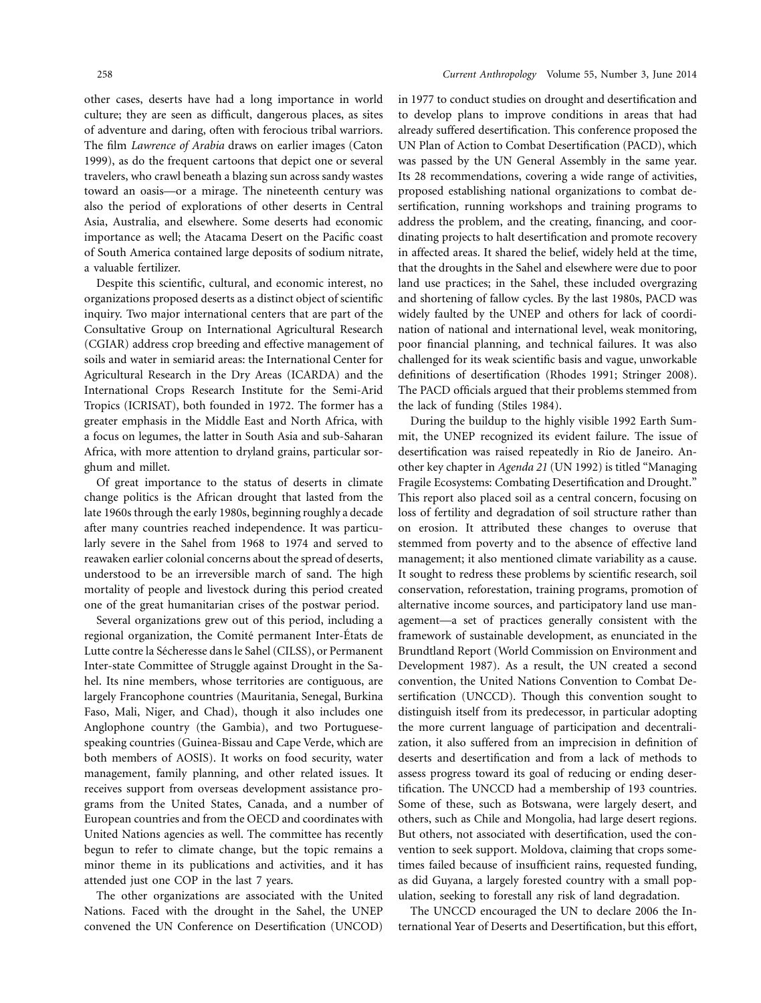other cases, deserts have had a long importance in world culture; they are seen as difficult, dangerous places, as sites of adventure and daring, often with ferocious tribal warriors. The film *Lawrence of Arabia* draws on earlier images (Caton 1999), as do the frequent cartoons that depict one or several travelers, who crawl beneath a blazing sun across sandy wastes toward an oasis—or a mirage. The nineteenth century was also the period of explorations of other deserts in Central Asia, Australia, and elsewhere. Some deserts had economic importance as well; the Atacama Desert on the Pacific coast of South America contained large deposits of sodium nitrate, a valuable fertilizer.

Despite this scientific, cultural, and economic interest, no organizations proposed deserts as a distinct object of scientific inquiry. Two major international centers that are part of the Consultative Group on International Agricultural Research (CGIAR) address crop breeding and effective management of soils and water in semiarid areas: the International Center for Agricultural Research in the Dry Areas (ICARDA) and the International Crops Research Institute for the Semi-Arid Tropics (ICRISAT), both founded in 1972. The former has a greater emphasis in the Middle East and North Africa, with a focus on legumes, the latter in South Asia and sub-Saharan Africa, with more attention to dryland grains, particular sorghum and millet.

Of great importance to the status of deserts in climate change politics is the African drought that lasted from the late 1960s through the early 1980s, beginning roughly a decade after many countries reached independence. It was particularly severe in the Sahel from 1968 to 1974 and served to reawaken earlier colonial concerns about the spread of deserts, understood to be an irreversible march of sand. The high mortality of people and livestock during this period created one of the great humanitarian crises of the postwar period.

Several organizations grew out of this period, including a regional organization, the Comité permanent Inter-États de Lutte contre la Sécheresse dans le Sahel (CILSS), or Permanent Inter-state Committee of Struggle against Drought in the Sahel. Its nine members, whose territories are contiguous, are largely Francophone countries (Mauritania, Senegal, Burkina Faso, Mali, Niger, and Chad), though it also includes one Anglophone country (the Gambia), and two Portuguesespeaking countries (Guinea-Bissau and Cape Verde, which are both members of AOSIS). It works on food security, water management, family planning, and other related issues. It receives support from overseas development assistance programs from the United States, Canada, and a number of European countries and from the OECD and coordinates with United Nations agencies as well. The committee has recently begun to refer to climate change, but the topic remains a minor theme in its publications and activities, and it has attended just one COP in the last 7 years.

The other organizations are associated with the United Nations. Faced with the drought in the Sahel, the UNEP convened the UN Conference on Desertification (UNCOD) in 1977 to conduct studies on drought and desertification and to develop plans to improve conditions in areas that had already suffered desertification. This conference proposed the UN Plan of Action to Combat Desertification (PACD), which was passed by the UN General Assembly in the same year. Its 28 recommendations, covering a wide range of activities, proposed establishing national organizations to combat desertification, running workshops and training programs to address the problem, and the creating, financing, and coordinating projects to halt desertification and promote recovery in affected areas. It shared the belief, widely held at the time, that the droughts in the Sahel and elsewhere were due to poor land use practices; in the Sahel, these included overgrazing and shortening of fallow cycles. By the last 1980s, PACD was widely faulted by the UNEP and others for lack of coordination of national and international level, weak monitoring, poor financial planning, and technical failures. It was also challenged for its weak scientific basis and vague, unworkable definitions of desertification (Rhodes 1991; Stringer 2008). The PACD officials argued that their problems stemmed from the lack of funding (Stiles 1984).

During the buildup to the highly visible 1992 Earth Summit, the UNEP recognized its evident failure. The issue of desertification was raised repeatedly in Rio de Janeiro. Another key chapter in *Agenda 21* (UN 1992) is titled "Managing Fragile Ecosystems: Combating Desertification and Drought." This report also placed soil as a central concern, focusing on loss of fertility and degradation of soil structure rather than on erosion. It attributed these changes to overuse that stemmed from poverty and to the absence of effective land management; it also mentioned climate variability as a cause. It sought to redress these problems by scientific research, soil conservation, reforestation, training programs, promotion of alternative income sources, and participatory land use management—a set of practices generally consistent with the framework of sustainable development, as enunciated in the Brundtland Report (World Commission on Environment and Development 1987). As a result, the UN created a second convention, the United Nations Convention to Combat Desertification (UNCCD). Though this convention sought to distinguish itself from its predecessor, in particular adopting the more current language of participation and decentralization, it also suffered from an imprecision in definition of deserts and desertification and from a lack of methods to assess progress toward its goal of reducing or ending desertification. The UNCCD had a membership of 193 countries. Some of these, such as Botswana, were largely desert, and others, such as Chile and Mongolia, had large desert regions. But others, not associated with desertification, used the convention to seek support. Moldova, claiming that crops sometimes failed because of insufficient rains, requested funding, as did Guyana, a largely forested country with a small population, seeking to forestall any risk of land degradation.

The UNCCD encouraged the UN to declare 2006 the International Year of Deserts and Desertification, but this effort,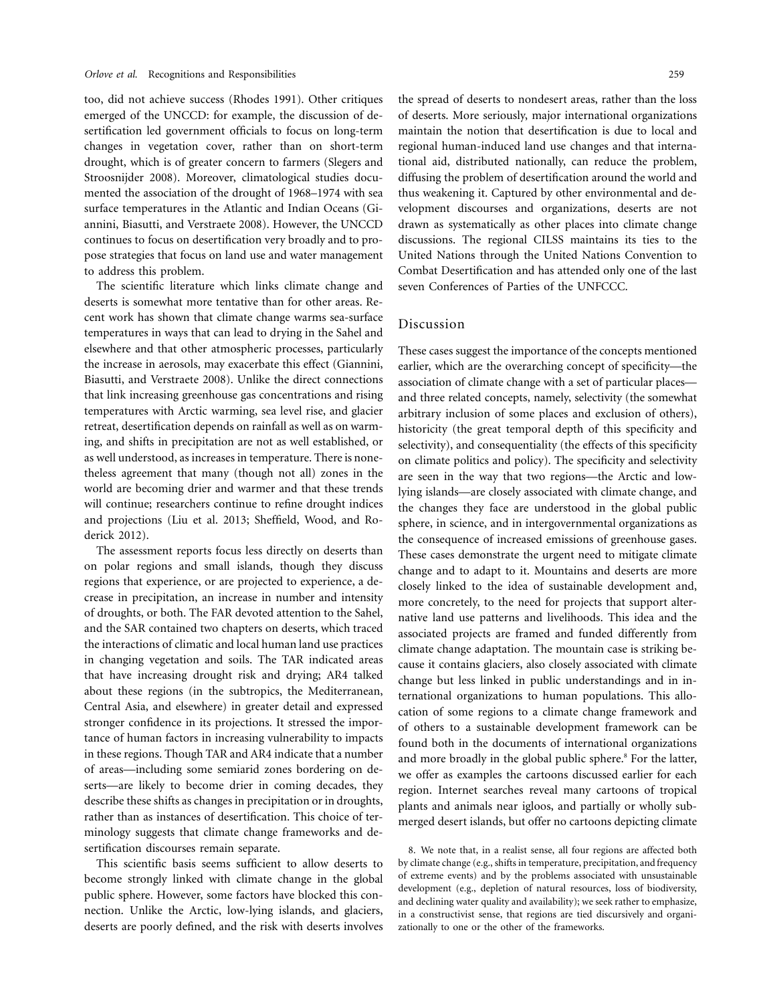too, did not achieve success (Rhodes 1991). Other critiques emerged of the UNCCD: for example, the discussion of desertification led government officials to focus on long-term changes in vegetation cover, rather than on short-term drought, which is of greater concern to farmers (Slegers and Stroosnijder 2008). Moreover, climatological studies documented the association of the drought of 1968–1974 with sea surface temperatures in the Atlantic and Indian Oceans (Giannini, Biasutti, and Verstraete 2008). However, the UNCCD continues to focus on desertification very broadly and to propose strategies that focus on land use and water management to address this problem.

The scientific literature which links climate change and deserts is somewhat more tentative than for other areas. Recent work has shown that climate change warms sea-surface temperatures in ways that can lead to drying in the Sahel and elsewhere and that other atmospheric processes, particularly the increase in aerosols, may exacerbate this effect (Giannini, Biasutti, and Verstraete 2008). Unlike the direct connections that link increasing greenhouse gas concentrations and rising temperatures with Arctic warming, sea level rise, and glacier retreat, desertification depends on rainfall as well as on warming, and shifts in precipitation are not as well established, or as well understood, as increases in temperature. There is nonetheless agreement that many (though not all) zones in the world are becoming drier and warmer and that these trends will continue; researchers continue to refine drought indices and projections (Liu et al. 2013; Sheffield, Wood, and Roderick 2012).

The assessment reports focus less directly on deserts than on polar regions and small islands, though they discuss regions that experience, or are projected to experience, a decrease in precipitation, an increase in number and intensity of droughts, or both. The FAR devoted attention to the Sahel, and the SAR contained two chapters on deserts, which traced the interactions of climatic and local human land use practices in changing vegetation and soils. The TAR indicated areas that have increasing drought risk and drying; AR4 talked about these regions (in the subtropics, the Mediterranean, Central Asia, and elsewhere) in greater detail and expressed stronger confidence in its projections. It stressed the importance of human factors in increasing vulnerability to impacts in these regions. Though TAR and AR4 indicate that a number of areas—including some semiarid zones bordering on deserts—are likely to become drier in coming decades, they describe these shifts as changes in precipitation or in droughts, rather than as instances of desertification. This choice of terminology suggests that climate change frameworks and desertification discourses remain separate.

This scientific basis seems sufficient to allow deserts to become strongly linked with climate change in the global public sphere. However, some factors have blocked this connection. Unlike the Arctic, low-lying islands, and glaciers, deserts are poorly defined, and the risk with deserts involves

the spread of deserts to nondesert areas, rather than the loss of deserts. More seriously, major international organizations maintain the notion that desertification is due to local and regional human-induced land use changes and that international aid, distributed nationally, can reduce the problem, diffusing the problem of desertification around the world and thus weakening it. Captured by other environmental and development discourses and organizations, deserts are not drawn as systematically as other places into climate change discussions. The regional CILSS maintains its ties to the United Nations through the United Nations Convention to Combat Desertification and has attended only one of the last seven Conferences of Parties of the UNFCCC.

## Discussion

These cases suggest the importance of the concepts mentioned earlier, which are the overarching concept of specificity—the association of climate change with a set of particular places and three related concepts, namely, selectivity (the somewhat arbitrary inclusion of some places and exclusion of others), historicity (the great temporal depth of this specificity and selectivity), and consequentiality (the effects of this specificity on climate politics and policy). The specificity and selectivity are seen in the way that two regions—the Arctic and lowlying islands—are closely associated with climate change, and the changes they face are understood in the global public sphere, in science, and in intergovernmental organizations as the consequence of increased emissions of greenhouse gases. These cases demonstrate the urgent need to mitigate climate change and to adapt to it. Mountains and deserts are more closely linked to the idea of sustainable development and, more concretely, to the need for projects that support alternative land use patterns and livelihoods. This idea and the associated projects are framed and funded differently from climate change adaptation. The mountain case is striking because it contains glaciers, also closely associated with climate change but less linked in public understandings and in international organizations to human populations. This allocation of some regions to a climate change framework and of others to a sustainable development framework can be found both in the documents of international organizations and more broadly in the global public sphere.<sup>8</sup> For the latter, we offer as examples the cartoons discussed earlier for each region. Internet searches reveal many cartoons of tropical plants and animals near igloos, and partially or wholly submerged desert islands, but offer no cartoons depicting climate

8. We note that, in a realist sense, all four regions are affected both by climate change (e.g., shifts in temperature, precipitation, and frequency of extreme events) and by the problems associated with unsustainable development (e.g., depletion of natural resources, loss of biodiversity, and declining water quality and availability); we seek rather to emphasize, in a constructivist sense, that regions are tied discursively and organizationally to one or the other of the frameworks.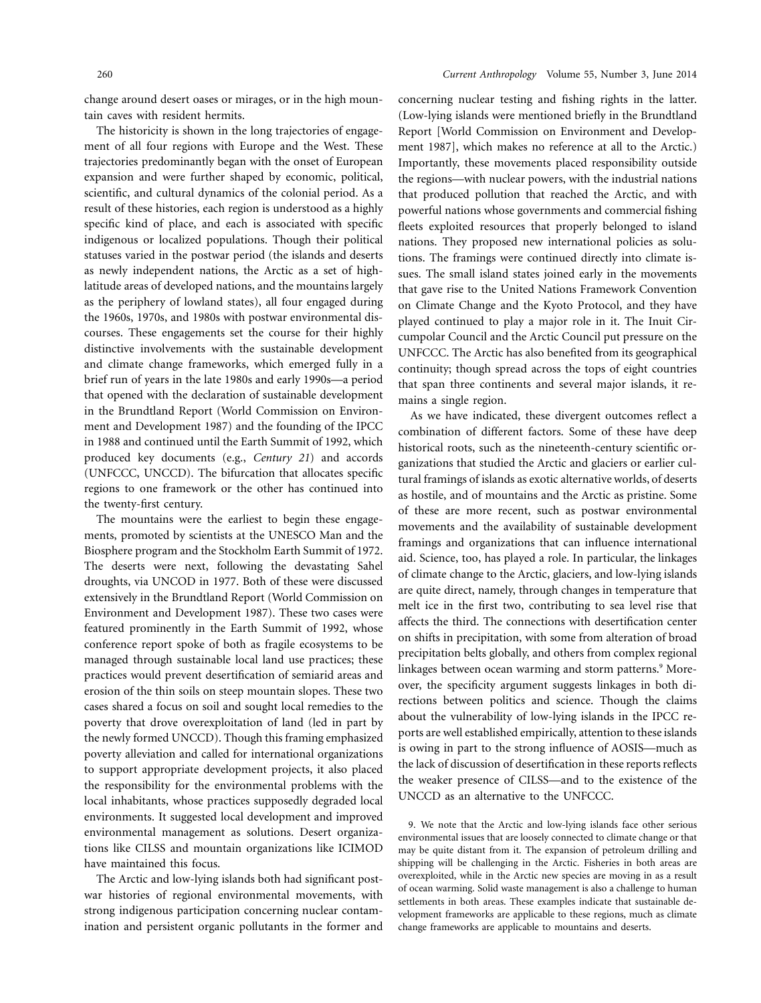change around desert oases or mirages, or in the high mountain caves with resident hermits.

The historicity is shown in the long trajectories of engagement of all four regions with Europe and the West. These trajectories predominantly began with the onset of European expansion and were further shaped by economic, political, scientific, and cultural dynamics of the colonial period. As a result of these histories, each region is understood as a highly specific kind of place, and each is associated with specific indigenous or localized populations. Though their political statuses varied in the postwar period (the islands and deserts as newly independent nations, the Arctic as a set of highlatitude areas of developed nations, and the mountains largely as the periphery of lowland states), all four engaged during the 1960s, 1970s, and 1980s with postwar environmental discourses. These engagements set the course for their highly distinctive involvements with the sustainable development and climate change frameworks, which emerged fully in a brief run of years in the late 1980s and early 1990s—a period that opened with the declaration of sustainable development in the Brundtland Report (World Commission on Environment and Development 1987) and the founding of the IPCC in 1988 and continued until the Earth Summit of 1992, which produced key documents (e.g., *Century 21*) and accords (UNFCCC, UNCCD). The bifurcation that allocates specific regions to one framework or the other has continued into the twenty-first century.

The mountains were the earliest to begin these engagements, promoted by scientists at the UNESCO Man and the Biosphere program and the Stockholm Earth Summit of 1972. The deserts were next, following the devastating Sahel droughts, via UNCOD in 1977. Both of these were discussed extensively in the Brundtland Report (World Commission on Environment and Development 1987). These two cases were featured prominently in the Earth Summit of 1992, whose conference report spoke of both as fragile ecosystems to be managed through sustainable local land use practices; these practices would prevent desertification of semiarid areas and erosion of the thin soils on steep mountain slopes. These two cases shared a focus on soil and sought local remedies to the poverty that drove overexploitation of land (led in part by the newly formed UNCCD). Though this framing emphasized poverty alleviation and called for international organizations to support appropriate development projects, it also placed the responsibility for the environmental problems with the local inhabitants, whose practices supposedly degraded local environments. It suggested local development and improved environmental management as solutions. Desert organizations like CILSS and mountain organizations like ICIMOD have maintained this focus.

The Arctic and low-lying islands both had significant postwar histories of regional environmental movements, with strong indigenous participation concerning nuclear contamination and persistent organic pollutants in the former and concerning nuclear testing and fishing rights in the latter. (Low-lying islands were mentioned briefly in the Brundtland Report [World Commission on Environment and Development 1987], which makes no reference at all to the Arctic.) Importantly, these movements placed responsibility outside the regions—with nuclear powers, with the industrial nations that produced pollution that reached the Arctic, and with powerful nations whose governments and commercial fishing fleets exploited resources that properly belonged to island nations. They proposed new international policies as solutions. The framings were continued directly into climate issues. The small island states joined early in the movements that gave rise to the United Nations Framework Convention on Climate Change and the Kyoto Protocol, and they have played continued to play a major role in it. The Inuit Circumpolar Council and the Arctic Council put pressure on the UNFCCC. The Arctic has also benefited from its geographical continuity; though spread across the tops of eight countries that span three continents and several major islands, it remains a single region.

As we have indicated, these divergent outcomes reflect a combination of different factors. Some of these have deep historical roots, such as the nineteenth-century scientific organizations that studied the Arctic and glaciers or earlier cultural framings of islands as exotic alternative worlds, of deserts as hostile, and of mountains and the Arctic as pristine. Some of these are more recent, such as postwar environmental movements and the availability of sustainable development framings and organizations that can influence international aid. Science, too, has played a role. In particular, the linkages of climate change to the Arctic, glaciers, and low-lying islands are quite direct, namely, through changes in temperature that melt ice in the first two, contributing to sea level rise that affects the third. The connections with desertification center on shifts in precipitation, with some from alteration of broad precipitation belts globally, and others from complex regional linkages between ocean warming and storm patterns.<sup>9</sup> Moreover, the specificity argument suggests linkages in both directions between politics and science. Though the claims about the vulnerability of low-lying islands in the IPCC reports are well established empirically, attention to these islands is owing in part to the strong influence of AOSIS—much as the lack of discussion of desertification in these reports reflects the weaker presence of CILSS—and to the existence of the UNCCD as an alternative to the UNFCCC.

9. We note that the Arctic and low-lying islands face other serious environmental issues that are loosely connected to climate change or that may be quite distant from it. The expansion of petroleum drilling and shipping will be challenging in the Arctic. Fisheries in both areas are overexploited, while in the Arctic new species are moving in as a result of ocean warming. Solid waste management is also a challenge to human settlements in both areas. These examples indicate that sustainable development frameworks are applicable to these regions, much as climate change frameworks are applicable to mountains and deserts.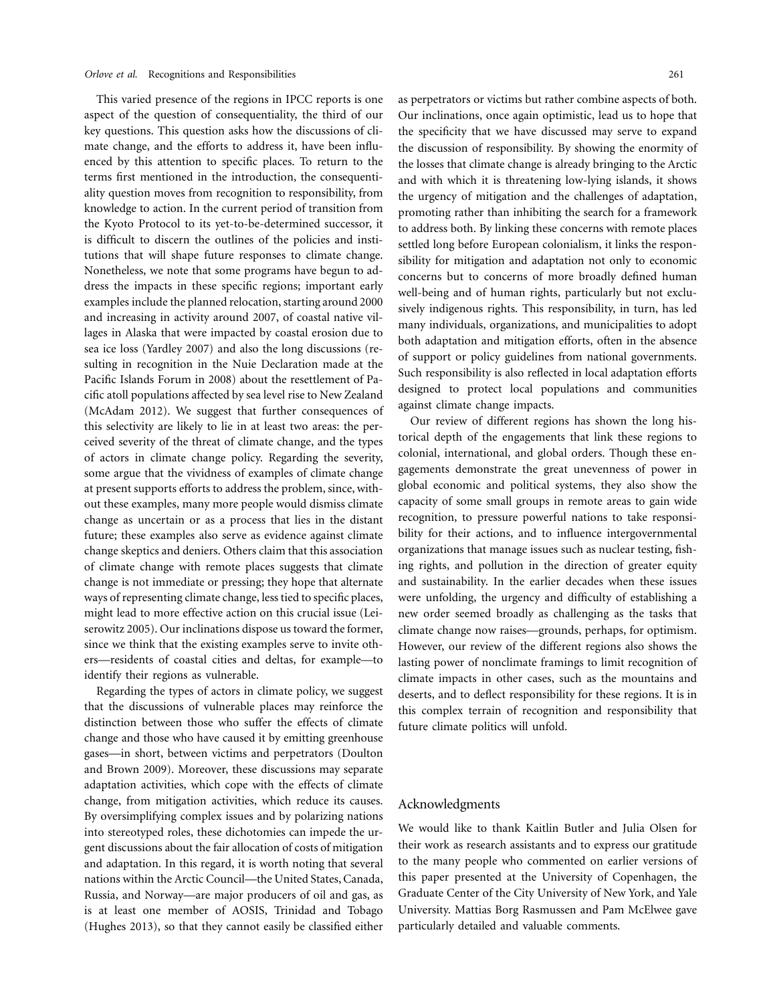This varied presence of the regions in IPCC reports is one aspect of the question of consequentiality, the third of our key questions. This question asks how the discussions of climate change, and the efforts to address it, have been influenced by this attention to specific places. To return to the terms first mentioned in the introduction, the consequentiality question moves from recognition to responsibility, from knowledge to action. In the current period of transition from the Kyoto Protocol to its yet-to-be-determined successor, it is difficult to discern the outlines of the policies and institutions that will shape future responses to climate change. Nonetheless, we note that some programs have begun to address the impacts in these specific regions; important early examples include the planned relocation, starting around 2000 and increasing in activity around 2007, of coastal native villages in Alaska that were impacted by coastal erosion due to sea ice loss (Yardley 2007) and also the long discussions (resulting in recognition in the Nuie Declaration made at the Pacific Islands Forum in 2008) about the resettlement of Pacific atoll populations affected by sea level rise to New Zealand (McAdam 2012). We suggest that further consequences of this selectivity are likely to lie in at least two areas: the perceived severity of the threat of climate change, and the types of actors in climate change policy. Regarding the severity, some argue that the vividness of examples of climate change at present supports efforts to address the problem, since, without these examples, many more people would dismiss climate change as uncertain or as a process that lies in the distant future; these examples also serve as evidence against climate change skeptics and deniers. Others claim that this association of climate change with remote places suggests that climate change is not immediate or pressing; they hope that alternate ways of representing climate change, less tied to specific places, might lead to more effective action on this crucial issue (Leiserowitz 2005). Our inclinations dispose us toward the former, since we think that the existing examples serve to invite others—residents of coastal cities and deltas, for example—to identify their regions as vulnerable.

Regarding the types of actors in climate policy, we suggest that the discussions of vulnerable places may reinforce the distinction between those who suffer the effects of climate change and those who have caused it by emitting greenhouse gases—in short, between victims and perpetrators (Doulton and Brown 2009). Moreover, these discussions may separate adaptation activities, which cope with the effects of climate change, from mitigation activities, which reduce its causes. By oversimplifying complex issues and by polarizing nations into stereotyped roles, these dichotomies can impede the urgent discussions about the fair allocation of costs of mitigation and adaptation. In this regard, it is worth noting that several nations within the Arctic Council—the United States, Canada, Russia, and Norway—are major producers of oil and gas, as is at least one member of AOSIS, Trinidad and Tobago (Hughes 2013), so that they cannot easily be classified either

as perpetrators or victims but rather combine aspects of both. Our inclinations, once again optimistic, lead us to hope that the specificity that we have discussed may serve to expand the discussion of responsibility. By showing the enormity of the losses that climate change is already bringing to the Arctic and with which it is threatening low-lying islands, it shows the urgency of mitigation and the challenges of adaptation, promoting rather than inhibiting the search for a framework to address both. By linking these concerns with remote places settled long before European colonialism, it links the responsibility for mitigation and adaptation not only to economic concerns but to concerns of more broadly defined human well-being and of human rights, particularly but not exclusively indigenous rights. This responsibility, in turn, has led many individuals, organizations, and municipalities to adopt both adaptation and mitigation efforts, often in the absence of support or policy guidelines from national governments. Such responsibility is also reflected in local adaptation efforts designed to protect local populations and communities against climate change impacts.

Our review of different regions has shown the long historical depth of the engagements that link these regions to colonial, international, and global orders. Though these engagements demonstrate the great unevenness of power in global economic and political systems, they also show the capacity of some small groups in remote areas to gain wide recognition, to pressure powerful nations to take responsibility for their actions, and to influence intergovernmental organizations that manage issues such as nuclear testing, fishing rights, and pollution in the direction of greater equity and sustainability. In the earlier decades when these issues were unfolding, the urgency and difficulty of establishing a new order seemed broadly as challenging as the tasks that climate change now raises—grounds, perhaps, for optimism. However, our review of the different regions also shows the lasting power of nonclimate framings to limit recognition of climate impacts in other cases, such as the mountains and deserts, and to deflect responsibility for these regions. It is in this complex terrain of recognition and responsibility that future climate politics will unfold.

### Acknowledgments

We would like to thank Kaitlin Butler and Julia Olsen for their work as research assistants and to express our gratitude to the many people who commented on earlier versions of this paper presented at the University of Copenhagen, the Graduate Center of the City University of New York, and Yale University. Mattias Borg Rasmussen and Pam McElwee gave particularly detailed and valuable comments.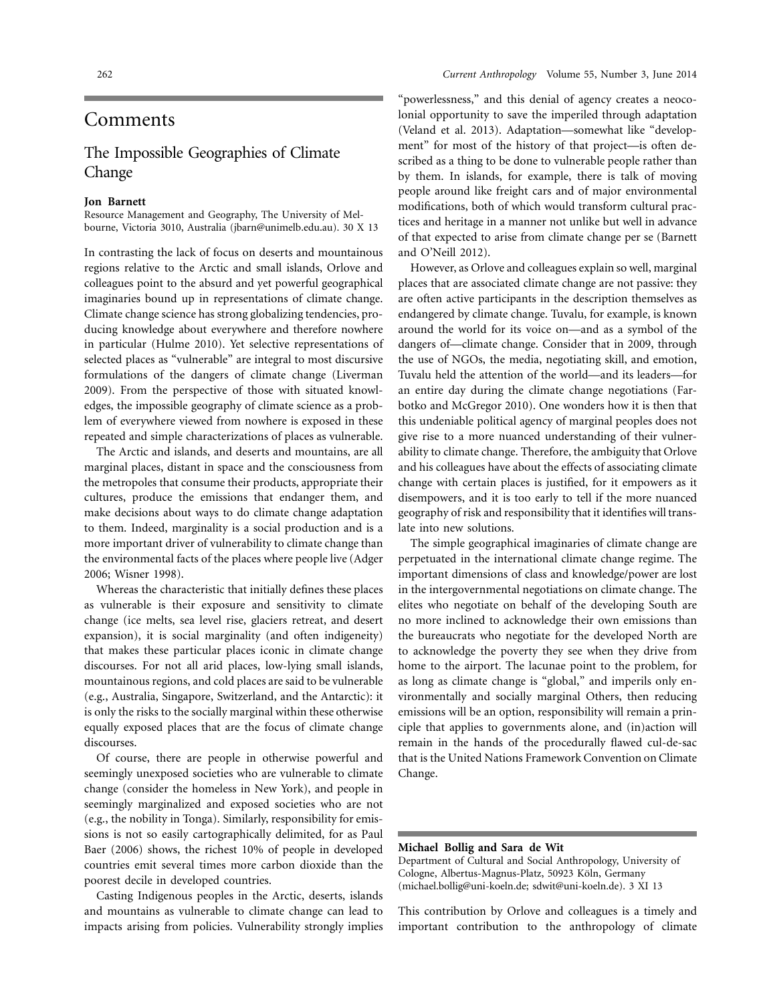## Comments

## The Impossible Geographies of Climate Change

## **Jon Barnett**

Resource Management and Geography, The University of Melbourne, Victoria 3010, Australia [\(jbarn@unimelb.edu.au\)](mailto:jbarn@unimelb.edu.au). 30 X 13

In contrasting the lack of focus on deserts and mountainous regions relative to the Arctic and small islands, Orlove and colleagues point to the absurd and yet powerful geographical imaginaries bound up in representations of climate change. Climate change science has strong globalizing tendencies, producing knowledge about everywhere and therefore nowhere in particular (Hulme 2010). Yet selective representations of selected places as "vulnerable" are integral to most discursive formulations of the dangers of climate change (Liverman 2009). From the perspective of those with situated knowledges, the impossible geography of climate science as a problem of everywhere viewed from nowhere is exposed in these repeated and simple characterizations of places as vulnerable.

The Arctic and islands, and deserts and mountains, are all marginal places, distant in space and the consciousness from the metropoles that consume their products, appropriate their cultures, produce the emissions that endanger them, and make decisions about ways to do climate change adaptation to them. Indeed, marginality is a social production and is a more important driver of vulnerability to climate change than the environmental facts of the places where people live (Adger 2006; Wisner 1998).

Whereas the characteristic that initially defines these places as vulnerable is their exposure and sensitivity to climate change (ice melts, sea level rise, glaciers retreat, and desert expansion), it is social marginality (and often indigeneity) that makes these particular places iconic in climate change discourses. For not all arid places, low-lying small islands, mountainous regions, and cold places are said to be vulnerable (e.g., Australia, Singapore, Switzerland, and the Antarctic): it is only the risks to the socially marginal within these otherwise equally exposed places that are the focus of climate change discourses.

Of course, there are people in otherwise powerful and seemingly unexposed societies who are vulnerable to climate change (consider the homeless in New York), and people in seemingly marginalized and exposed societies who are not (e.g., the nobility in Tonga). Similarly, responsibility for emissions is not so easily cartographically delimited, for as Paul Baer (2006) shows, the richest 10% of people in developed countries emit several times more carbon dioxide than the poorest decile in developed countries.

Casting Indigenous peoples in the Arctic, deserts, islands and mountains as vulnerable to climate change can lead to impacts arising from policies. Vulnerability strongly implies

"powerlessness," and this denial of agency creates a neocolonial opportunity to save the imperiled through adaptation (Veland et al. 2013). Adaptation—somewhat like "development" for most of the history of that project—is often described as a thing to be done to vulnerable people rather than by them. In islands, for example, there is talk of moving people around like freight cars and of major environmental modifications, both of which would transform cultural practices and heritage in a manner not unlike but well in advance of that expected to arise from climate change per se (Barnett and O'Neill 2012).

However, as Orlove and colleagues explain so well, marginal places that are associated climate change are not passive: they are often active participants in the description themselves as endangered by climate change. Tuvalu, for example, is known around the world for its voice on—and as a symbol of the dangers of—climate change. Consider that in 2009, through the use of NGOs, the media, negotiating skill, and emotion, Tuvalu held the attention of the world—and its leaders—for an entire day during the climate change negotiations (Farbotko and McGregor 2010). One wonders how it is then that this undeniable political agency of marginal peoples does not give rise to a more nuanced understanding of their vulnerability to climate change. Therefore, the ambiguity that Orlove and his colleagues have about the effects of associating climate change with certain places is justified, for it empowers as it disempowers, and it is too early to tell if the more nuanced geography of risk and responsibility that it identifies will translate into new solutions.

The simple geographical imaginaries of climate change are perpetuated in the international climate change regime. The important dimensions of class and knowledge/power are lost in the intergovernmental negotiations on climate change. The elites who negotiate on behalf of the developing South are no more inclined to acknowledge their own emissions than the bureaucrats who negotiate for the developed North are to acknowledge the poverty they see when they drive from home to the airport. The lacunae point to the problem, for as long as climate change is "global," and imperils only environmentally and socially marginal Others, then reducing emissions will be an option, responsibility will remain a principle that applies to governments alone, and (in)action will remain in the hands of the procedurally flawed cul-de-sac that is the United Nations Framework Convention on Climate Change.

## **Michael Bollig and Sara de Wit**

Department of Cultural and Social Anthropology, University of Cologne, Albertus-Magnus-Platz, 50923 Köln, Germany [\(michael.bollig@uni-koeln.de;](mailto:michael.bollig@uni-koeln.de) [sdwit@uni-koeln.de\)](mailto:sdwit@uni-koeln.de). 3 XI 13

This contribution by Orlove and colleagues is a timely and important contribution to the anthropology of climate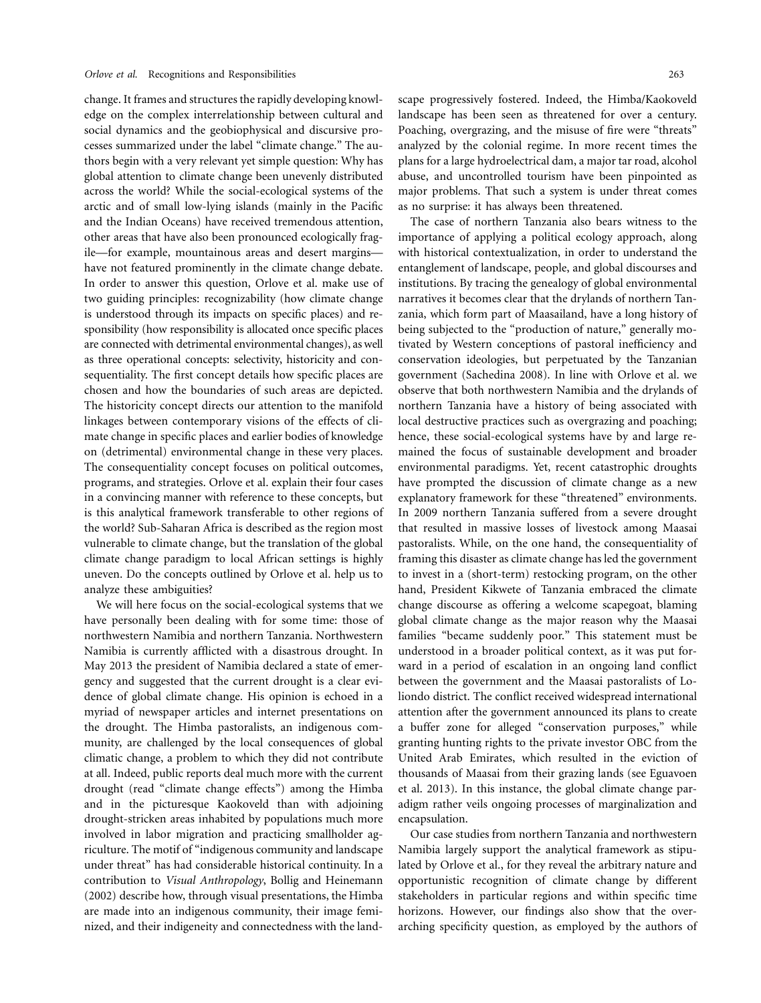change. It frames and structures the rapidly developing knowledge on the complex interrelationship between cultural and social dynamics and the geobiophysical and discursive processes summarized under the label "climate change." The authors begin with a very relevant yet simple question: Why has global attention to climate change been unevenly distributed across the world? While the social-ecological systems of the arctic and of small low-lying islands (mainly in the Pacific and the Indian Oceans) have received tremendous attention, other areas that have also been pronounced ecologically fragile—for example, mountainous areas and desert margins have not featured prominently in the climate change debate. In order to answer this question, Orlove et al. make use of two guiding principles: recognizability (how climate change is understood through its impacts on specific places) and responsibility (how responsibility is allocated once specific places are connected with detrimental environmental changes), as well as three operational concepts: selectivity, historicity and consequentiality. The first concept details how specific places are chosen and how the boundaries of such areas are depicted. The historicity concept directs our attention to the manifold linkages between contemporary visions of the effects of climate change in specific places and earlier bodies of knowledge on (detrimental) environmental change in these very places. The consequentiality concept focuses on political outcomes, programs, and strategies. Orlove et al. explain their four cases in a convincing manner with reference to these concepts, but is this analytical framework transferable to other regions of the world? Sub-Saharan Africa is described as the region most vulnerable to climate change, but the translation of the global climate change paradigm to local African settings is highly uneven. Do the concepts outlined by Orlove et al. help us to analyze these ambiguities?

We will here focus on the social-ecological systems that we have personally been dealing with for some time: those of northwestern Namibia and northern Tanzania. Northwestern Namibia is currently afflicted with a disastrous drought. In May 2013 the president of Namibia declared a state of emergency and suggested that the current drought is a clear evidence of global climate change. His opinion is echoed in a myriad of newspaper articles and internet presentations on the drought. The Himba pastoralists, an indigenous community, are challenged by the local consequences of global climatic change, a problem to which they did not contribute at all. Indeed, public reports deal much more with the current drought (read "climate change effects") among the Himba and in the picturesque Kaokoveld than with adjoining drought-stricken areas inhabited by populations much more involved in labor migration and practicing smallholder agriculture. The motif of "indigenous community and landscape under threat" has had considerable historical continuity. In a contribution to *Visual Anthropology*, Bollig and Heinemann (2002) describe how, through visual presentations, the Himba are made into an indigenous community, their image feminized, and their indigeneity and connectedness with the landscape progressively fostered. Indeed, the Himba/Kaokoveld landscape has been seen as threatened for over a century. Poaching, overgrazing, and the misuse of fire were "threats" analyzed by the colonial regime. In more recent times the plans for a large hydroelectrical dam, a major tar road, alcohol abuse, and uncontrolled tourism have been pinpointed as major problems. That such a system is under threat comes as no surprise: it has always been threatened.

The case of northern Tanzania also bears witness to the importance of applying a political ecology approach, along with historical contextualization, in order to understand the entanglement of landscape, people, and global discourses and institutions. By tracing the genealogy of global environmental narratives it becomes clear that the drylands of northern Tanzania, which form part of Maasailand, have a long history of being subjected to the "production of nature," generally motivated by Western conceptions of pastoral inefficiency and conservation ideologies, but perpetuated by the Tanzanian government (Sachedina 2008). In line with Orlove et al. we observe that both northwestern Namibia and the drylands of northern Tanzania have a history of being associated with local destructive practices such as overgrazing and poaching; hence, these social-ecological systems have by and large remained the focus of sustainable development and broader environmental paradigms. Yet, recent catastrophic droughts have prompted the discussion of climate change as a new explanatory framework for these "threatened" environments. In 2009 northern Tanzania suffered from a severe drought that resulted in massive losses of livestock among Maasai pastoralists. While, on the one hand, the consequentiality of framing this disaster as climate change has led the government to invest in a (short-term) restocking program, on the other hand, President Kikwete of Tanzania embraced the climate change discourse as offering a welcome scapegoat, blaming global climate change as the major reason why the Maasai families "became suddenly poor." This statement must be understood in a broader political context, as it was put forward in a period of escalation in an ongoing land conflict between the government and the Maasai pastoralists of Loliondo district. The conflict received widespread international attention after the government announced its plans to create a buffer zone for alleged "conservation purposes," while granting hunting rights to the private investor OBC from the United Arab Emirates, which resulted in the eviction of thousands of Maasai from their grazing lands (see Eguavoen et al. 2013). In this instance, the global climate change paradigm rather veils ongoing processes of marginalization and encapsulation.

Our case studies from northern Tanzania and northwestern Namibia largely support the analytical framework as stipulated by Orlove et al., for they reveal the arbitrary nature and opportunistic recognition of climate change by different stakeholders in particular regions and within specific time horizons. However, our findings also show that the overarching specificity question, as employed by the authors of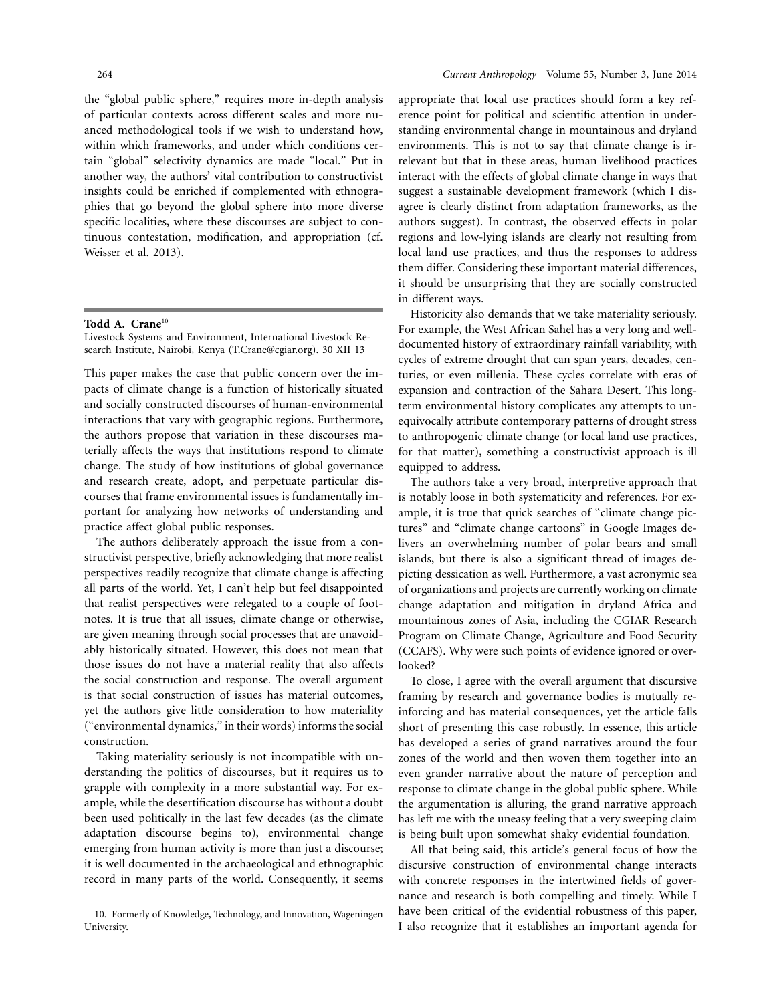the "global public sphere," requires more in-depth analysis of particular contexts across different scales and more nuanced methodological tools if we wish to understand how, within which frameworks, and under which conditions certain "global" selectivity dynamics are made "local." Put in another way, the authors' vital contribution to constructivist insights could be enriched if complemented with ethnographies that go beyond the global sphere into more diverse specific localities, where these discourses are subject to continuous contestation, modification, and appropriation (cf. Weisser et al. 2013).

### Todd A. Crane<sup>10</sup>

Livestock Systems and Environment, International Livestock Research Institute, Nairobi, Kenya [\(T.Crane@cgiar.org\)](mailto:T.Crane@cgiar.org). 30 XII 13

This paper makes the case that public concern over the impacts of climate change is a function of historically situated and socially constructed discourses of human-environmental interactions that vary with geographic regions. Furthermore, the authors propose that variation in these discourses materially affects the ways that institutions respond to climate change. The study of how institutions of global governance and research create, adopt, and perpetuate particular discourses that frame environmental issues is fundamentally important for analyzing how networks of understanding and practice affect global public responses.

The authors deliberately approach the issue from a constructivist perspective, briefly acknowledging that more realist perspectives readily recognize that climate change is affecting all parts of the world. Yet, I can't help but feel disappointed that realist perspectives were relegated to a couple of footnotes. It is true that all issues, climate change or otherwise, are given meaning through social processes that are unavoidably historically situated. However, this does not mean that those issues do not have a material reality that also affects the social construction and response. The overall argument is that social construction of issues has material outcomes, yet the authors give little consideration to how materiality ("environmental dynamics," in their words) informs the social construction.

Taking materiality seriously is not incompatible with understanding the politics of discourses, but it requires us to grapple with complexity in a more substantial way. For example, while the desertification discourse has without a doubt been used politically in the last few decades (as the climate adaptation discourse begins to), environmental change emerging from human activity is more than just a discourse; it is well documented in the archaeological and ethnographic record in many parts of the world. Consequently, it seems

appropriate that local use practices should form a key reference point for political and scientific attention in understanding environmental change in mountainous and dryland environments. This is not to say that climate change is irrelevant but that in these areas, human livelihood practices interact with the effects of global climate change in ways that suggest a sustainable development framework (which I disagree is clearly distinct from adaptation frameworks, as the authors suggest). In contrast, the observed effects in polar regions and low-lying islands are clearly not resulting from local land use practices, and thus the responses to address them differ. Considering these important material differences, it should be unsurprising that they are socially constructed in different ways.

Historicity also demands that we take materiality seriously. For example, the West African Sahel has a very long and welldocumented history of extraordinary rainfall variability, with cycles of extreme drought that can span years, decades, centuries, or even millenia. These cycles correlate with eras of expansion and contraction of the Sahara Desert. This longterm environmental history complicates any attempts to unequivocally attribute contemporary patterns of drought stress to anthropogenic climate change (or local land use practices, for that matter), something a constructivist approach is ill equipped to address.

The authors take a very broad, interpretive approach that is notably loose in both systematicity and references. For example, it is true that quick searches of "climate change pictures" and "climate change cartoons" in Google Images delivers an overwhelming number of polar bears and small islands, but there is also a significant thread of images depicting dessication as well. Furthermore, a vast acronymic sea of organizations and projects are currently working on climate change adaptation and mitigation in dryland Africa and mountainous zones of Asia, including the CGIAR Research Program on Climate Change, Agriculture and Food Security (CCAFS). Why were such points of evidence ignored or overlooked?

To close, I agree with the overall argument that discursive framing by research and governance bodies is mutually reinforcing and has material consequences, yet the article falls short of presenting this case robustly. In essence, this article has developed a series of grand narratives around the four zones of the world and then woven them together into an even grander narrative about the nature of perception and response to climate change in the global public sphere. While the argumentation is alluring, the grand narrative approach has left me with the uneasy feeling that a very sweeping claim is being built upon somewhat shaky evidential foundation.

All that being said, this article's general focus of how the discursive construction of environmental change interacts with concrete responses in the intertwined fields of governance and research is both compelling and timely. While I have been critical of the evidential robustness of this paper, I also recognize that it establishes an important agenda for

<sup>10.</sup> Formerly of Knowledge, Technology, and Innovation, Wageningen University.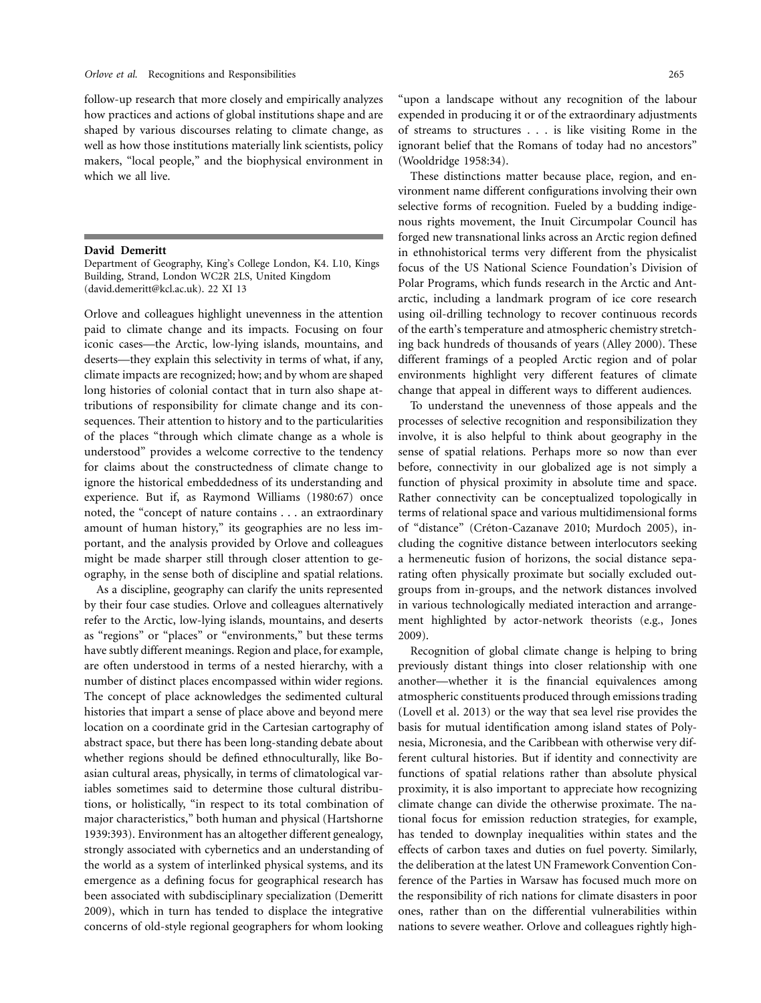follow-up research that more closely and empirically analyzes how practices and actions of global institutions shape and are shaped by various discourses relating to climate change, as well as how those institutions materially link scientists, policy makers, "local people," and the biophysical environment in which we all live.

#### **David Demeritt**

Department of Geography, King's College London, K4. L10, Kings Building, Strand, London WC2R 2LS, United Kingdom [\(david.demeritt@kcl.ac.uk\)](mailto:david.demeritt@kcl.ac.uk). 22 XI 13

Orlove and colleagues highlight unevenness in the attention paid to climate change and its impacts. Focusing on four iconic cases—the Arctic, low-lying islands, mountains, and deserts—they explain this selectivity in terms of what, if any, climate impacts are recognized; how; and by whom are shaped long histories of colonial contact that in turn also shape attributions of responsibility for climate change and its consequences. Their attention to history and to the particularities of the places "through which climate change as a whole is understood" provides a welcome corrective to the tendency for claims about the constructedness of climate change to ignore the historical embeddedness of its understanding and experience. But if, as Raymond Williams (1980:67) once noted, the "concept of nature contains . . . an extraordinary amount of human history," its geographies are no less important, and the analysis provided by Orlove and colleagues might be made sharper still through closer attention to geography, in the sense both of discipline and spatial relations.

As a discipline, geography can clarify the units represented by their four case studies. Orlove and colleagues alternatively refer to the Arctic, low-lying islands, mountains, and deserts as "regions" or "places" or "environments," but these terms have subtly different meanings. Region and place, for example, are often understood in terms of a nested hierarchy, with a number of distinct places encompassed within wider regions. The concept of place acknowledges the sedimented cultural histories that impart a sense of place above and beyond mere location on a coordinate grid in the Cartesian cartography of abstract space, but there has been long-standing debate about whether regions should be defined ethnoculturally, like Boasian cultural areas, physically, in terms of climatological variables sometimes said to determine those cultural distributions, or holistically, "in respect to its total combination of major characteristics," both human and physical (Hartshorne 1939:393). Environment has an altogether different genealogy, strongly associated with cybernetics and an understanding of the world as a system of interlinked physical systems, and its emergence as a defining focus for geographical research has been associated with subdisciplinary specialization (Demeritt 2009), which in turn has tended to displace the integrative concerns of old-style regional geographers for whom looking

"upon a landscape without any recognition of the labour expended in producing it or of the extraordinary adjustments of streams to structures . . . is like visiting Rome in the ignorant belief that the Romans of today had no ancestors" (Wooldridge 1958:34).

These distinctions matter because place, region, and environment name different configurations involving their own selective forms of recognition. Fueled by a budding indigenous rights movement, the Inuit Circumpolar Council has forged new transnational links across an Arctic region defined in ethnohistorical terms very different from the physicalist focus of the US National Science Foundation's Division of Polar Programs, which funds research in the Arctic and Antarctic, including a landmark program of ice core research using oil-drilling technology to recover continuous records of the earth's temperature and atmospheric chemistry stretching back hundreds of thousands of years (Alley 2000). These different framings of a peopled Arctic region and of polar environments highlight very different features of climate change that appeal in different ways to different audiences.

To understand the unevenness of those appeals and the processes of selective recognition and responsibilization they involve, it is also helpful to think about geography in the sense of spatial relations. Perhaps more so now than ever before, connectivity in our globalized age is not simply a function of physical proximity in absolute time and space. Rather connectivity can be conceptualized topologically in terms of relational space and various multidimensional forms of "distance" (Créton-Cazanave 2010; Murdoch 2005), including the cognitive distance between interlocutors seeking a hermeneutic fusion of horizons, the social distance separating often physically proximate but socially excluded outgroups from in-groups, and the network distances involved in various technologically mediated interaction and arrangement highlighted by actor-network theorists (e.g., Jones 2009).

Recognition of global climate change is helping to bring previously distant things into closer relationship with one another—whether it is the financial equivalences among atmospheric constituents produced through emissions trading (Lovell et al. 2013) or the way that sea level rise provides the basis for mutual identification among island states of Polynesia, Micronesia, and the Caribbean with otherwise very different cultural histories. But if identity and connectivity are functions of spatial relations rather than absolute physical proximity, it is also important to appreciate how recognizing climate change can divide the otherwise proximate. The national focus for emission reduction strategies, for example, has tended to downplay inequalities within states and the effects of carbon taxes and duties on fuel poverty. Similarly, the deliberation at the latest UN Framework Convention Conference of the Parties in Warsaw has focused much more on the responsibility of rich nations for climate disasters in poor ones, rather than on the differential vulnerabilities within nations to severe weather. Orlove and colleagues rightly high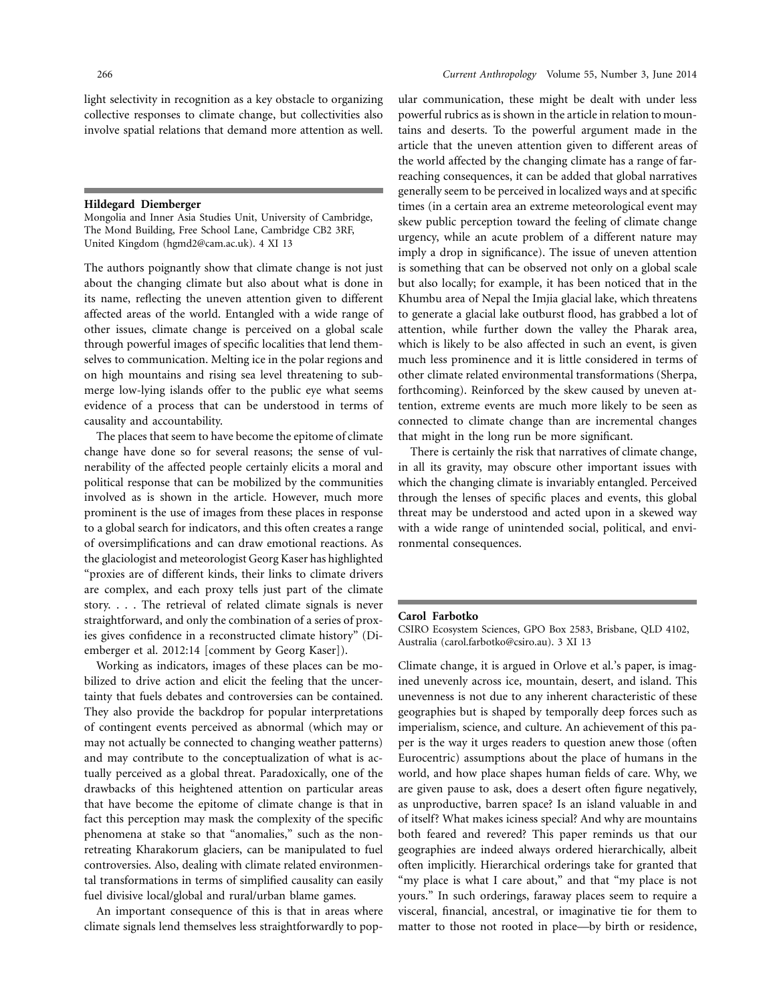light selectivity in recognition as a key obstacle to organizing collective responses to climate change, but collectivities also involve spatial relations that demand more attention as well.

#### **Hildegard Diemberger**

Mongolia and Inner Asia Studies Unit, University of Cambridge, The Mond Building, Free School Lane, Cambridge CB2 3RF, United Kingdom [\(hgmd2@cam.ac.uk\)](mailto:hgmd2@cam.ac.uk). 4 XI 13

The authors poignantly show that climate change is not just about the changing climate but also about what is done in its name, reflecting the uneven attention given to different affected areas of the world. Entangled with a wide range of other issues, climate change is perceived on a global scale through powerful images of specific localities that lend themselves to communication. Melting ice in the polar regions and on high mountains and rising sea level threatening to submerge low-lying islands offer to the public eye what seems evidence of a process that can be understood in terms of causality and accountability.

The places that seem to have become the epitome of climate change have done so for several reasons; the sense of vulnerability of the affected people certainly elicits a moral and political response that can be mobilized by the communities involved as is shown in the article. However, much more prominent is the use of images from these places in response to a global search for indicators, and this often creates a range of oversimplifications and can draw emotional reactions. As the glaciologist and meteorologist Georg Kaser has highlighted "proxies are of different kinds, their links to climate drivers are complex, and each proxy tells just part of the climate story. . . . The retrieval of related climate signals is never straightforward, and only the combination of a series of proxies gives confidence in a reconstructed climate history" (Diemberger et al. 2012:14 [comment by Georg Kaser]).

Working as indicators, images of these places can be mobilized to drive action and elicit the feeling that the uncertainty that fuels debates and controversies can be contained. They also provide the backdrop for popular interpretations of contingent events perceived as abnormal (which may or may not actually be connected to changing weather patterns) and may contribute to the conceptualization of what is actually perceived as a global threat. Paradoxically, one of the drawbacks of this heightened attention on particular areas that have become the epitome of climate change is that in fact this perception may mask the complexity of the specific phenomena at stake so that "anomalies," such as the nonretreating Kharakorum glaciers, can be manipulated to fuel controversies. Also, dealing with climate related environmental transformations in terms of simplified causality can easily fuel divisive local/global and rural/urban blame games.

An important consequence of this is that in areas where climate signals lend themselves less straightforwardly to popular communication, these might be dealt with under less powerful rubrics as is shown in the article in relation to mountains and deserts. To the powerful argument made in the article that the uneven attention given to different areas of the world affected by the changing climate has a range of farreaching consequences, it can be added that global narratives generally seem to be perceived in localized ways and at specific times (in a certain area an extreme meteorological event may skew public perception toward the feeling of climate change urgency, while an acute problem of a different nature may imply a drop in significance). The issue of uneven attention is something that can be observed not only on a global scale but also locally; for example, it has been noticed that in the Khumbu area of Nepal the Imjia glacial lake, which threatens to generate a glacial lake outburst flood, has grabbed a lot of attention, while further down the valley the Pharak area, which is likely to be also affected in such an event, is given much less prominence and it is little considered in terms of other climate related environmental transformations (Sherpa, forthcoming). Reinforced by the skew caused by uneven attention, extreme events are much more likely to be seen as connected to climate change than are incremental changes that might in the long run be more significant.

There is certainly the risk that narratives of climate change, in all its gravity, may obscure other important issues with which the changing climate is invariably entangled. Perceived through the lenses of specific places and events, this global threat may be understood and acted upon in a skewed way with a wide range of unintended social, political, and environmental consequences.

### **Carol Farbotko**

CSIRO Ecosystem Sciences, GPO Box 2583, Brisbane, QLD 4102, Australia [\(carol.farbotko@csiro.au\)](mailto:carol.farbotko@csiro.au). 3 XI 13

Climate change, it is argued in Orlove et al.'s paper, is imagined unevenly across ice, mountain, desert, and island. This unevenness is not due to any inherent characteristic of these geographies but is shaped by temporally deep forces such as imperialism, science, and culture. An achievement of this paper is the way it urges readers to question anew those (often Eurocentric) assumptions about the place of humans in the world, and how place shapes human fields of care. Why, we are given pause to ask, does a desert often figure negatively, as unproductive, barren space? Is an island valuable in and of itself? What makes iciness special? And why are mountains both feared and revered? This paper reminds us that our geographies are indeed always ordered hierarchically, albeit often implicitly. Hierarchical orderings take for granted that "my place is what I care about," and that "my place is not yours." In such orderings, faraway places seem to require a visceral, financial, ancestral, or imaginative tie for them to matter to those not rooted in place—by birth or residence,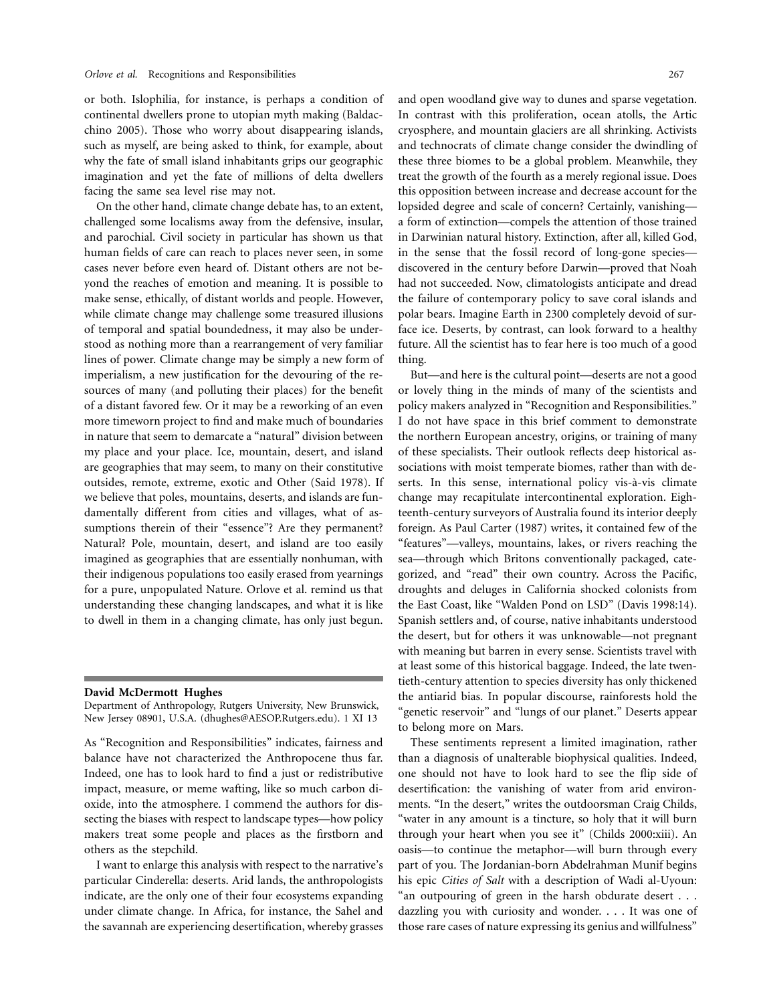or both. Islophilia, for instance, is perhaps a condition of continental dwellers prone to utopian myth making (Baldacchino 2005). Those who worry about disappearing islands, such as myself, are being asked to think, for example, about why the fate of small island inhabitants grips our geographic imagination and yet the fate of millions of delta dwellers facing the same sea level rise may not.

On the other hand, climate change debate has, to an extent, challenged some localisms away from the defensive, insular, and parochial. Civil society in particular has shown us that human fields of care can reach to places never seen, in some cases never before even heard of. Distant others are not beyond the reaches of emotion and meaning. It is possible to make sense, ethically, of distant worlds and people. However, while climate change may challenge some treasured illusions of temporal and spatial boundedness, it may also be understood as nothing more than a rearrangement of very familiar lines of power. Climate change may be simply a new form of imperialism, a new justification for the devouring of the resources of many (and polluting their places) for the benefit of a distant favored few. Or it may be a reworking of an even more timeworn project to find and make much of boundaries in nature that seem to demarcate a "natural" division between my place and your place. Ice, mountain, desert, and island are geographies that may seem, to many on their constitutive outsides, remote, extreme, exotic and Other (Said 1978). If we believe that poles, mountains, deserts, and islands are fundamentally different from cities and villages, what of assumptions therein of their "essence"? Are they permanent? Natural? Pole, mountain, desert, and island are too easily imagined as geographies that are essentially nonhuman, with their indigenous populations too easily erased from yearnings for a pure, unpopulated Nature. Orlove et al. remind us that understanding these changing landscapes, and what it is like to dwell in them in a changing climate, has only just begun.

#### **David McDermott Hughes**

Department of Anthropology, Rutgers University, New Brunswick, New Jersey 08901, U.S.A. [\(dhughes@AESOP.Rutgers.edu\)](mailto:dhughes@AESOP.Rutgers.edu). 1 XI 13

As "Recognition and Responsibilities" indicates, fairness and balance have not characterized the Anthropocene thus far. Indeed, one has to look hard to find a just or redistributive impact, measure, or meme wafting, like so much carbon dioxide, into the atmosphere. I commend the authors for dissecting the biases with respect to landscape types—how policy makers treat some people and places as the firstborn and others as the stepchild.

I want to enlarge this analysis with respect to the narrative's particular Cinderella: deserts. Arid lands, the anthropologists indicate, are the only one of their four ecosystems expanding under climate change. In Africa, for instance, the Sahel and the savannah are experiencing desertification, whereby grasses

and open woodland give way to dunes and sparse vegetation. In contrast with this proliferation, ocean atolls, the Artic cryosphere, and mountain glaciers are all shrinking. Activists and technocrats of climate change consider the dwindling of these three biomes to be a global problem. Meanwhile, they treat the growth of the fourth as a merely regional issue. Does this opposition between increase and decrease account for the lopsided degree and scale of concern? Certainly, vanishing a form of extinction—compels the attention of those trained in Darwinian natural history. Extinction, after all, killed God, in the sense that the fossil record of long-gone species discovered in the century before Darwin—proved that Noah had not succeeded. Now, climatologists anticipate and dread the failure of contemporary policy to save coral islands and polar bears. Imagine Earth in 2300 completely devoid of surface ice. Deserts, by contrast, can look forward to a healthy future. All the scientist has to fear here is too much of a good thing.

But—and here is the cultural point—deserts are not a good or lovely thing in the minds of many of the scientists and policy makers analyzed in "Recognition and Responsibilities." I do not have space in this brief comment to demonstrate the northern European ancestry, origins, or training of many of these specialists. Their outlook reflects deep historical associations with moist temperate biomes, rather than with deserts. In this sense, international policy vis-à-vis climate change may recapitulate intercontinental exploration. Eighteenth-century surveyors of Australia found its interior deeply foreign. As Paul Carter (1987) writes, it contained few of the "features"—valleys, mountains, lakes, or rivers reaching the sea—through which Britons conventionally packaged, categorized, and "read" their own country. Across the Pacific, droughts and deluges in California shocked colonists from the East Coast, like "Walden Pond on LSD" (Davis 1998:14). Spanish settlers and, of course, native inhabitants understood the desert, but for others it was unknowable—not pregnant with meaning but barren in every sense. Scientists travel with at least some of this historical baggage. Indeed, the late twentieth-century attention to species diversity has only thickened the antiarid bias. In popular discourse, rainforests hold the "genetic reservoir" and "lungs of our planet." Deserts appear to belong more on Mars.

These sentiments represent a limited imagination, rather than a diagnosis of unalterable biophysical qualities. Indeed, one should not have to look hard to see the flip side of desertification: the vanishing of water from arid environments. "In the desert," writes the outdoorsman Craig Childs, "water in any amount is a tincture, so holy that it will burn through your heart when you see it" (Childs 2000:xiii). An oasis—to continue the metaphor—will burn through every part of you. The Jordanian-born Abdelrahman Munif begins his epic *Cities of Salt* with a description of Wadi al-Uyoun: "an outpouring of green in the harsh obdurate desert . . . dazzling you with curiosity and wonder. . . . It was one of those rare cases of nature expressing its genius and willfulness"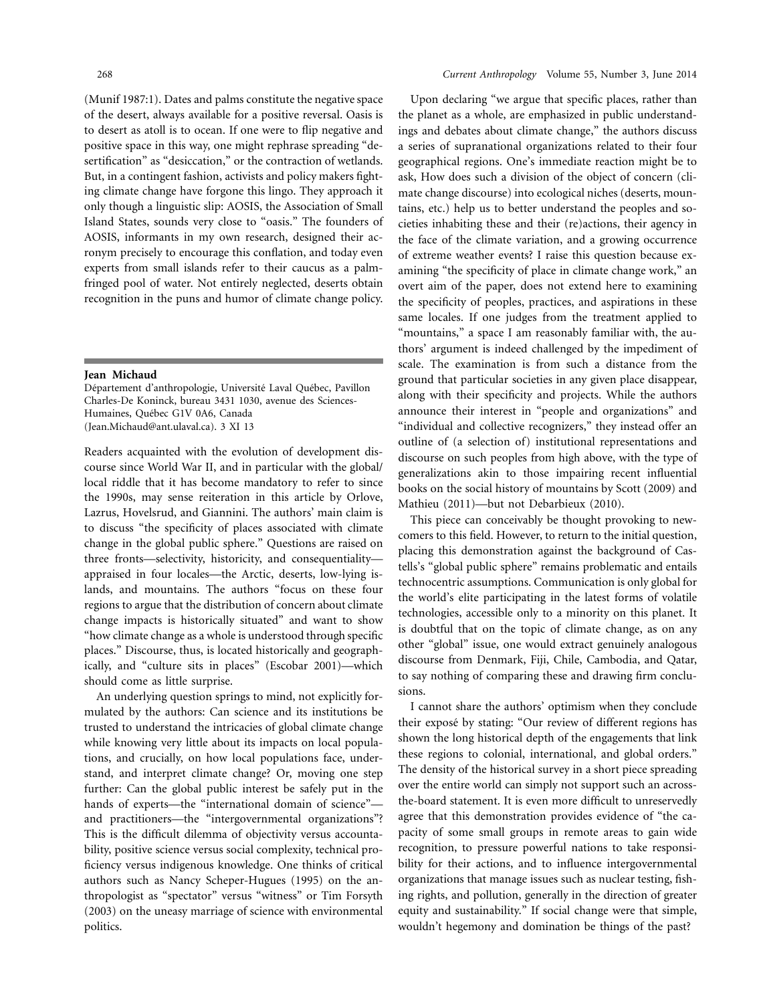(Munif 1987:1). Dates and palms constitute the negative space of the desert, always available for a positive reversal. Oasis is to desert as atoll is to ocean. If one were to flip negative and positive space in this way, one might rephrase spreading "desertification" as "desiccation," or the contraction of wetlands. But, in a contingent fashion, activists and policy makers fighting climate change have forgone this lingo. They approach it only though a linguistic slip: AOSIS, the Association of Small Island States, sounds very close to "oasis." The founders of AOSIS, informants in my own research, designed their acronym precisely to encourage this conflation, and today even experts from small islands refer to their caucus as a palmfringed pool of water. Not entirely neglected, deserts obtain recognition in the puns and humor of climate change policy.

#### **Jean Michaud**

Département d'anthropologie, Université Laval Québec, Pavillon Charles-De Koninck, bureau 3431 1030, avenue des Sciences-Humaines, Québec G1V 0A6, Canada [\(Jean.Michaud@ant.ulaval.ca\)](mailto:Jean.Michaud@ant.ulaval.ca). 3 XI 13

Readers acquainted with the evolution of development discourse since World War II, and in particular with the global/ local riddle that it has become mandatory to refer to since the 1990s, may sense reiteration in this article by Orlove, Lazrus, Hovelsrud, and Giannini. The authors' main claim is to discuss "the specificity of places associated with climate change in the global public sphere." Questions are raised on three fronts—selectivity, historicity, and consequentiality appraised in four locales—the Arctic, deserts, low-lying islands, and mountains. The authors "focus on these four regions to argue that the distribution of concern about climate change impacts is historically situated" and want to show "how climate change as a whole is understood through specific places." Discourse, thus, is located historically and geographically, and "culture sits in places" (Escobar 2001)—which should come as little surprise.

An underlying question springs to mind, not explicitly formulated by the authors: Can science and its institutions be trusted to understand the intricacies of global climate change while knowing very little about its impacts on local populations, and crucially, on how local populations face, understand, and interpret climate change? Or, moving one step further: Can the global public interest be safely put in the hands of experts—the "international domain of science" and practitioners—the "intergovernmental organizations"? This is the difficult dilemma of objectivity versus accountability, positive science versus social complexity, technical proficiency versus indigenous knowledge. One thinks of critical authors such as Nancy Scheper-Hugues (1995) on the anthropologist as "spectator" versus "witness" or Tim Forsyth (2003) on the uneasy marriage of science with environmental politics.

Upon declaring "we argue that specific places, rather than the planet as a whole, are emphasized in public understandings and debates about climate change," the authors discuss a series of supranational organizations related to their four geographical regions. One's immediate reaction might be to ask, How does such a division of the object of concern (climate change discourse) into ecological niches (deserts, mountains, etc.) help us to better understand the peoples and societies inhabiting these and their (re)actions, their agency in the face of the climate variation, and a growing occurrence of extreme weather events? I raise this question because examining "the specificity of place in climate change work," an overt aim of the paper, does not extend here to examining the specificity of peoples, practices, and aspirations in these same locales. If one judges from the treatment applied to "mountains," a space I am reasonably familiar with, the authors' argument is indeed challenged by the impediment of scale. The examination is from such a distance from the ground that particular societies in any given place disappear, along with their specificity and projects. While the authors announce their interest in "people and organizations" and "individual and collective recognizers," they instead offer an outline of (a selection of) institutional representations and discourse on such peoples from high above, with the type of generalizations akin to those impairing recent influential books on the social history of mountains by Scott (2009) and Mathieu (2011)—but not Debarbieux (2010).

This piece can conceivably be thought provoking to newcomers to this field. However, to return to the initial question, placing this demonstration against the background of Castells's "global public sphere" remains problematic and entails technocentric assumptions. Communication is only global for the world's elite participating in the latest forms of volatile technologies, accessible only to a minority on this planet. It is doubtful that on the topic of climate change, as on any other "global" issue, one would extract genuinely analogous discourse from Denmark, Fiji, Chile, Cambodia, and Qatar, to say nothing of comparing these and drawing firm conclusions.

I cannot share the authors' optimism when they conclude their exposé by stating: "Our review of different regions has shown the long historical depth of the engagements that link these regions to colonial, international, and global orders." The density of the historical survey in a short piece spreading over the entire world can simply not support such an acrossthe-board statement. It is even more difficult to unreservedly agree that this demonstration provides evidence of "the capacity of some small groups in remote areas to gain wide recognition, to pressure powerful nations to take responsibility for their actions, and to influence intergovernmental organizations that manage issues such as nuclear testing, fishing rights, and pollution, generally in the direction of greater equity and sustainability." If social change were that simple, wouldn't hegemony and domination be things of the past?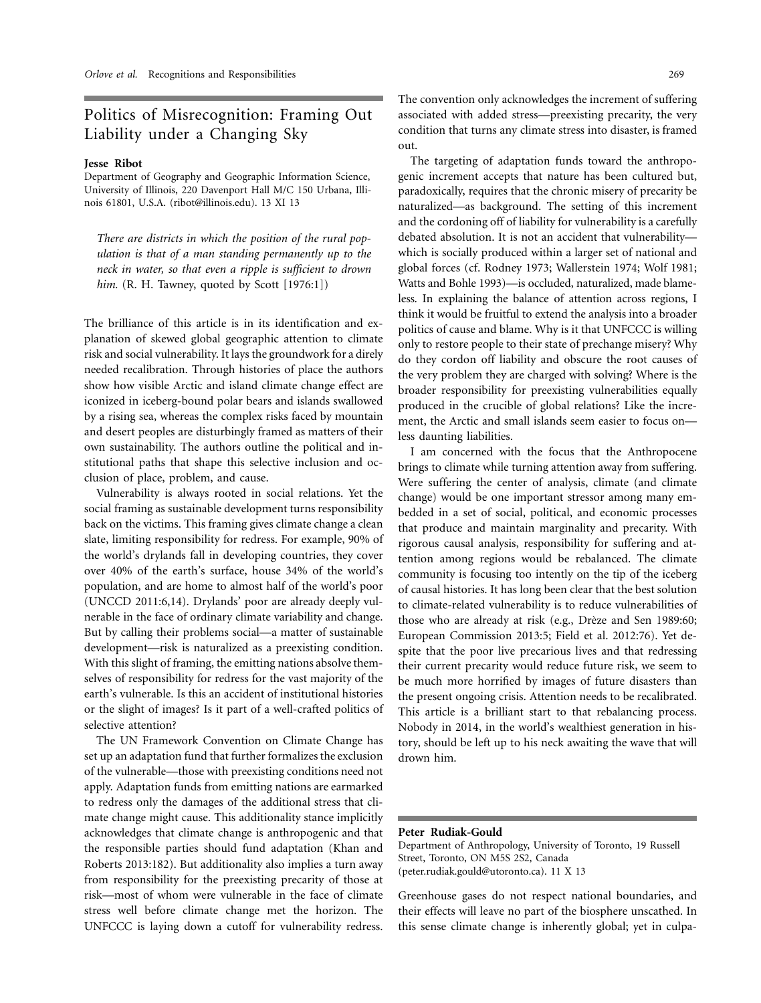## Politics of Misrecognition: Framing Out Liability under a Changing Sky

#### **Jesse Ribot**

Department of Geography and Geographic Information Science, University of Illinois, 220 Davenport Hall M/C 150 Urbana, Illinois 61801, U.S.A. [\(ribot@illinois.edu\)](mailto:ribot@illinois.edu). 13 XI 13

*There are districts in which the position of the rural population is that of a man standing permanently up to the neck in water, so that even a ripple is sufficient to drown* him. (R. H. Tawney, quoted by Scott [1976:1])

The brilliance of this article is in its identification and explanation of skewed global geographic attention to climate risk and social vulnerability. It lays the groundwork for a direly needed recalibration. Through histories of place the authors show how visible Arctic and island climate change effect are iconized in iceberg-bound polar bears and islands swallowed by a rising sea, whereas the complex risks faced by mountain and desert peoples are disturbingly framed as matters of their own sustainability. The authors outline the political and institutional paths that shape this selective inclusion and occlusion of place, problem, and cause.

Vulnerability is always rooted in social relations. Yet the social framing as sustainable development turns responsibility back on the victims. This framing gives climate change a clean slate, limiting responsibility for redress. For example, 90% of the world's drylands fall in developing countries, they cover over 40% of the earth's surface, house 34% of the world's population, and are home to almost half of the world's poor (UNCCD 2011:6,14). Drylands' poor are already deeply vulnerable in the face of ordinary climate variability and change. But by calling their problems social—a matter of sustainable development—risk is naturalized as a preexisting condition. With this slight of framing, the emitting nations absolve themselves of responsibility for redress for the vast majority of the earth's vulnerable. Is this an accident of institutional histories or the slight of images? Is it part of a well-crafted politics of selective attention?

The UN Framework Convention on Climate Change has set up an adaptation fund that further formalizes the exclusion of the vulnerable—those with preexisting conditions need not apply. Adaptation funds from emitting nations are earmarked to redress only the damages of the additional stress that climate change might cause. This additionality stance implicitly acknowledges that climate change is anthropogenic and that the responsible parties should fund adaptation (Khan and Roberts 2013:182). But additionality also implies a turn away from responsibility for the preexisting precarity of those at risk—most of whom were vulnerable in the face of climate stress well before climate change met the horizon. The UNFCCC is laying down a cutoff for vulnerability redress.

The convention only acknowledges the increment of suffering associated with added stress—preexisting precarity, the very condition that turns any climate stress into disaster, is framed out.

The targeting of adaptation funds toward the anthropogenic increment accepts that nature has been cultured but, paradoxically, requires that the chronic misery of precarity be naturalized—as background. The setting of this increment and the cordoning off of liability for vulnerability is a carefully debated absolution. It is not an accident that vulnerability which is socially produced within a larger set of national and global forces (cf. Rodney 1973; Wallerstein 1974; Wolf 1981; Watts and Bohle 1993)—is occluded, naturalized, made blameless. In explaining the balance of attention across regions, I think it would be fruitful to extend the analysis into a broader politics of cause and blame. Why is it that UNFCCC is willing only to restore people to their state of prechange misery? Why do they cordon off liability and obscure the root causes of the very problem they are charged with solving? Where is the broader responsibility for preexisting vulnerabilities equally produced in the crucible of global relations? Like the increment, the Arctic and small islands seem easier to focus on less daunting liabilities.

I am concerned with the focus that the Anthropocene brings to climate while turning attention away from suffering. Were suffering the center of analysis, climate (and climate change) would be one important stressor among many embedded in a set of social, political, and economic processes that produce and maintain marginality and precarity. With rigorous causal analysis, responsibility for suffering and attention among regions would be rebalanced. The climate community is focusing too intently on the tip of the iceberg of causal histories. It has long been clear that the best solution to climate-related vulnerability is to reduce vulnerabilities of those who are already at risk (e.g., Drèze and Sen 1989:60; European Commission 2013:5; Field et al. 2012:76). Yet despite that the poor live precarious lives and that redressing their current precarity would reduce future risk, we seem to be much more horrified by images of future disasters than the present ongoing crisis. Attention needs to be recalibrated. This article is a brilliant start to that rebalancing process. Nobody in 2014, in the world's wealthiest generation in history, should be left up to his neck awaiting the wave that will drown him.

#### **Peter Rudiak-Gould**

Department of Anthropology, University of Toronto, 19 Russell Street, Toronto, ON M5S 2S2, Canada [\(peter.rudiak.gould@utoronto.ca\)](mailto:peter.rudiak.gould@utoronto.ca). 11 X 13

Greenhouse gases do not respect national boundaries, and their effects will leave no part of the biosphere unscathed. In this sense climate change is inherently global; yet in culpa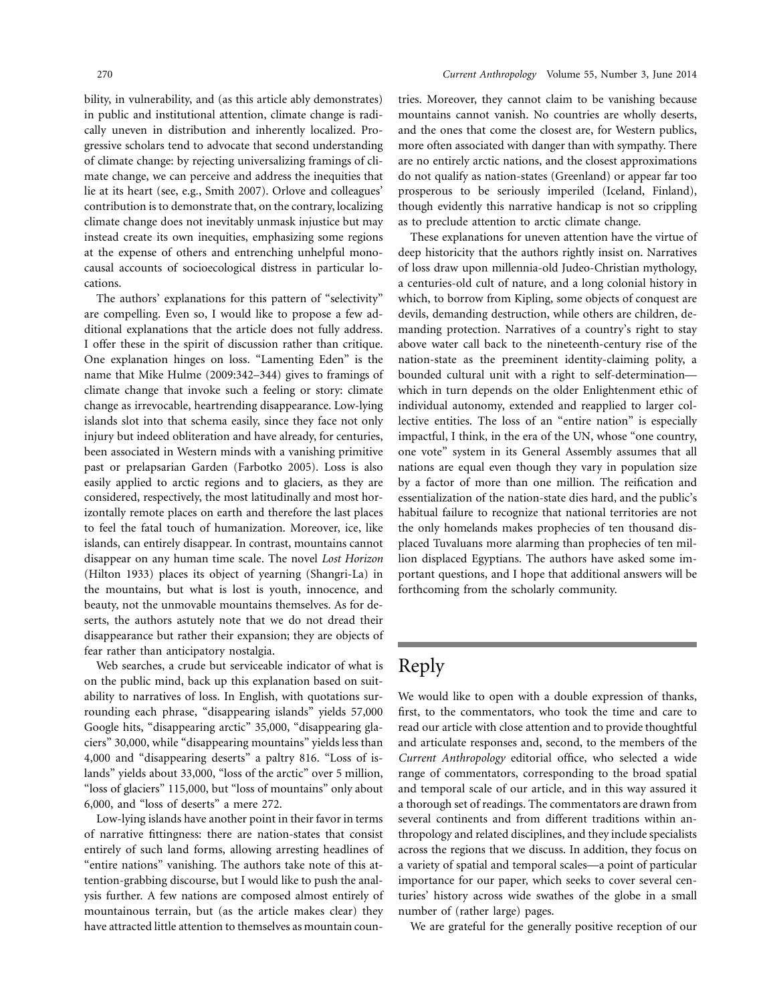bility, in vulnerability, and (as this article ably demonstrates) in public and institutional attention, climate change is radically uneven in distribution and inherently localized. Progressive scholars tend to advocate that second understanding of climate change: by rejecting universalizing framings of climate change, we can perceive and address the inequities that lie at its heart (see, e.g., Smith 2007). Orlove and colleagues' contribution is to demonstrate that, on the contrary, localizing climate change does not inevitably unmask injustice but may instead create its own inequities, emphasizing some regions at the expense of others and entrenching unhelpful monocausal accounts of socioecological distress in particular locations.

The authors' explanations for this pattern of "selectivity" are compelling. Even so, I would like to propose a few additional explanations that the article does not fully address. I offer these in the spirit of discussion rather than critique. One explanation hinges on loss. "Lamenting Eden" is the name that Mike Hulme (2009:342–344) gives to framings of climate change that invoke such a feeling or story: climate change as irrevocable, heartrending disappearance. Low-lying islands slot into that schema easily, since they face not only injury but indeed obliteration and have already, for centuries, been associated in Western minds with a vanishing primitive past or prelapsarian Garden (Farbotko 2005). Loss is also easily applied to arctic regions and to glaciers, as they are considered, respectively, the most latitudinally and most horizontally remote places on earth and therefore the last places to feel the fatal touch of humanization. Moreover, ice, like islands, can entirely disappear. In contrast, mountains cannot disappear on any human time scale. The novel *Lost Horizon* (Hilton 1933) places its object of yearning (Shangri-La) in the mountains, but what is lost is youth, innocence, and beauty, not the unmovable mountains themselves. As for deserts, the authors astutely note that we do not dread their disappearance but rather their expansion; they are objects of fear rather than anticipatory nostalgia.

Web searches, a crude but serviceable indicator of what is on the public mind, back up this explanation based on suitability to narratives of loss. In English, with quotations surrounding each phrase, "disappearing islands" yields 57,000 Google hits, "disappearing arctic" 35,000, "disappearing glaciers" 30,000, while "disappearing mountains" yields less than 4,000 and "disappearing deserts" a paltry 816. "Loss of islands" yields about 33,000, "loss of the arctic" over 5 million, "loss of glaciers" 115,000, but "loss of mountains" only about 6,000, and "loss of deserts" a mere 272.

Low-lying islands have another point in their favor in terms of narrative fittingness: there are nation-states that consist entirely of such land forms, allowing arresting headlines of "entire nations" vanishing. The authors take note of this attention-grabbing discourse, but I would like to push the analysis further. A few nations are composed almost entirely of mountainous terrain, but (as the article makes clear) they have attracted little attention to themselves as mountain countries. Moreover, they cannot claim to be vanishing because mountains cannot vanish. No countries are wholly deserts, and the ones that come the closest are, for Western publics, more often associated with danger than with sympathy. There are no entirely arctic nations, and the closest approximations do not qualify as nation-states (Greenland) or appear far too prosperous to be seriously imperiled (Iceland, Finland), though evidently this narrative handicap is not so crippling as to preclude attention to arctic climate change.

These explanations for uneven attention have the virtue of deep historicity that the authors rightly insist on. Narratives of loss draw upon millennia-old Judeo-Christian mythology, a centuries-old cult of nature, and a long colonial history in which, to borrow from Kipling, some objects of conquest are devils, demanding destruction, while others are children, demanding protection. Narratives of a country's right to stay above water call back to the nineteenth-century rise of the nation-state as the preeminent identity-claiming polity, a bounded cultural unit with a right to self-determination which in turn depends on the older Enlightenment ethic of individual autonomy, extended and reapplied to larger collective entities. The loss of an "entire nation" is especially impactful, I think, in the era of the UN, whose "one country, one vote" system in its General Assembly assumes that all nations are equal even though they vary in population size by a factor of more than one million. The reification and essentialization of the nation-state dies hard, and the public's habitual failure to recognize that national territories are not the only homelands makes prophecies of ten thousand displaced Tuvaluans more alarming than prophecies of ten million displaced Egyptians. The authors have asked some important questions, and I hope that additional answers will be forthcoming from the scholarly community.

## Reply

We would like to open with a double expression of thanks, first, to the commentators, who took the time and care to read our article with close attention and to provide thoughtful and articulate responses and, second, to the members of the *Current Anthropology* editorial office, who selected a wide range of commentators, corresponding to the broad spatial and temporal scale of our article, and in this way assured it a thorough set of readings. The commentators are drawn from several continents and from different traditions within anthropology and related disciplines, and they include specialists across the regions that we discuss. In addition, they focus on a variety of spatial and temporal scales—a point of particular importance for our paper, which seeks to cover several centuries' history across wide swathes of the globe in a small number of (rather large) pages.

We are grateful for the generally positive reception of our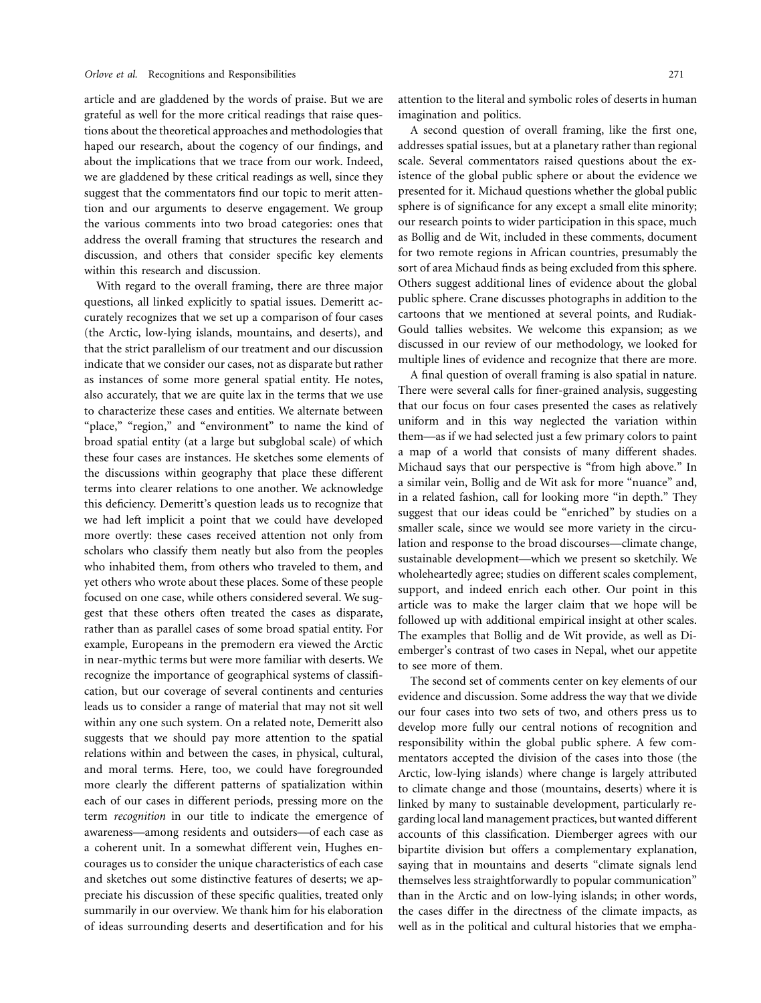article and are gladdened by the words of praise. But we are grateful as well for the more critical readings that raise questions about the theoretical approaches and methodologies that haped our research, about the cogency of our findings, and about the implications that we trace from our work. Indeed, we are gladdened by these critical readings as well, since they suggest that the commentators find our topic to merit attention and our arguments to deserve engagement. We group the various comments into two broad categories: ones that address the overall framing that structures the research and discussion, and others that consider specific key elements within this research and discussion.

With regard to the overall framing, there are three major questions, all linked explicitly to spatial issues. Demeritt accurately recognizes that we set up a comparison of four cases (the Arctic, low-lying islands, mountains, and deserts), and that the strict parallelism of our treatment and our discussion indicate that we consider our cases, not as disparate but rather as instances of some more general spatial entity. He notes, also accurately, that we are quite lax in the terms that we use to characterize these cases and entities. We alternate between "place," "region," and "environment" to name the kind of broad spatial entity (at a large but subglobal scale) of which these four cases are instances. He sketches some elements of the discussions within geography that place these different terms into clearer relations to one another. We acknowledge this deficiency. Demeritt's question leads us to recognize that we had left implicit a point that we could have developed more overtly: these cases received attention not only from scholars who classify them neatly but also from the peoples who inhabited them, from others who traveled to them, and yet others who wrote about these places. Some of these people focused on one case, while others considered several. We suggest that these others often treated the cases as disparate, rather than as parallel cases of some broad spatial entity. For example, Europeans in the premodern era viewed the Arctic in near-mythic terms but were more familiar with deserts. We recognize the importance of geographical systems of classification, but our coverage of several continents and centuries leads us to consider a range of material that may not sit well within any one such system. On a related note, Demeritt also suggests that we should pay more attention to the spatial relations within and between the cases, in physical, cultural, and moral terms. Here, too, we could have foregrounded more clearly the different patterns of spatialization within each of our cases in different periods, pressing more on the term *recognition* in our title to indicate the emergence of awareness—among residents and outsiders—of each case as a coherent unit. In a somewhat different vein, Hughes encourages us to consider the unique characteristics of each case and sketches out some distinctive features of deserts; we appreciate his discussion of these specific qualities, treated only summarily in our overview. We thank him for his elaboration of ideas surrounding deserts and desertification and for his

attention to the literal and symbolic roles of deserts in human imagination and politics.

A second question of overall framing, like the first one, addresses spatial issues, but at a planetary rather than regional scale. Several commentators raised questions about the existence of the global public sphere or about the evidence we presented for it. Michaud questions whether the global public sphere is of significance for any except a small elite minority; our research points to wider participation in this space, much as Bollig and de Wit, included in these comments, document for two remote regions in African countries, presumably the sort of area Michaud finds as being excluded from this sphere. Others suggest additional lines of evidence about the global public sphere. Crane discusses photographs in addition to the cartoons that we mentioned at several points, and Rudiak-Gould tallies websites. We welcome this expansion; as we discussed in our review of our methodology, we looked for multiple lines of evidence and recognize that there are more.

A final question of overall framing is also spatial in nature. There were several calls for finer-grained analysis, suggesting that our focus on four cases presented the cases as relatively uniform and in this way neglected the variation within them—as if we had selected just a few primary colors to paint a map of a world that consists of many different shades. Michaud says that our perspective is "from high above." In a similar vein, Bollig and de Wit ask for more "nuance" and, in a related fashion, call for looking more "in depth." They suggest that our ideas could be "enriched" by studies on a smaller scale, since we would see more variety in the circulation and response to the broad discourses—climate change, sustainable development—which we present so sketchily. We wholeheartedly agree; studies on different scales complement, support, and indeed enrich each other. Our point in this article was to make the larger claim that we hope will be followed up with additional empirical insight at other scales. The examples that Bollig and de Wit provide, as well as Diemberger's contrast of two cases in Nepal, whet our appetite to see more of them.

The second set of comments center on key elements of our evidence and discussion. Some address the way that we divide our four cases into two sets of two, and others press us to develop more fully our central notions of recognition and responsibility within the global public sphere. A few commentators accepted the division of the cases into those (the Arctic, low-lying islands) where change is largely attributed to climate change and those (mountains, deserts) where it is linked by many to sustainable development, particularly regarding local land management practices, but wanted different accounts of this classification. Diemberger agrees with our bipartite division but offers a complementary explanation, saying that in mountains and deserts "climate signals lend themselves less straightforwardly to popular communication" than in the Arctic and on low-lying islands; in other words, the cases differ in the directness of the climate impacts, as well as in the political and cultural histories that we empha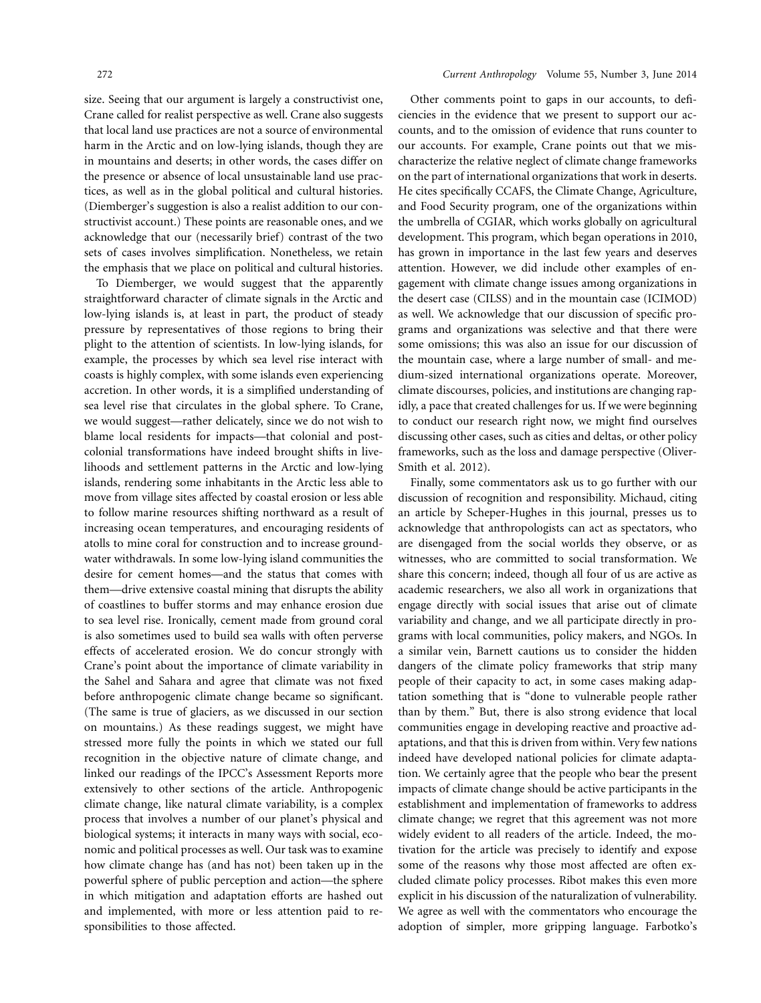size. Seeing that our argument is largely a constructivist one, Crane called for realist perspective as well. Crane also suggests that local land use practices are not a source of environmental harm in the Arctic and on low-lying islands, though they are in mountains and deserts; in other words, the cases differ on the presence or absence of local unsustainable land use practices, as well as in the global political and cultural histories. (Diemberger's suggestion is also a realist addition to our constructivist account.) These points are reasonable ones, and we acknowledge that our (necessarily brief) contrast of the two sets of cases involves simplification. Nonetheless, we retain the emphasis that we place on political and cultural histories.

To Diemberger, we would suggest that the apparently straightforward character of climate signals in the Arctic and low-lying islands is, at least in part, the product of steady pressure by representatives of those regions to bring their plight to the attention of scientists. In low-lying islands, for example, the processes by which sea level rise interact with coasts is highly complex, with some islands even experiencing accretion. In other words, it is a simplified understanding of sea level rise that circulates in the global sphere. To Crane, we would suggest—rather delicately, since we do not wish to blame local residents for impacts—that colonial and postcolonial transformations have indeed brought shifts in livelihoods and settlement patterns in the Arctic and low-lying islands, rendering some inhabitants in the Arctic less able to move from village sites affected by coastal erosion or less able to follow marine resources shifting northward as a result of increasing ocean temperatures, and encouraging residents of atolls to mine coral for construction and to increase groundwater withdrawals. In some low-lying island communities the desire for cement homes—and the status that comes with them—drive extensive coastal mining that disrupts the ability of coastlines to buffer storms and may enhance erosion due to sea level rise. Ironically, cement made from ground coral is also sometimes used to build sea walls with often perverse effects of accelerated erosion. We do concur strongly with Crane's point about the importance of climate variability in the Sahel and Sahara and agree that climate was not fixed before anthropogenic climate change became so significant. (The same is true of glaciers, as we discussed in our section on mountains.) As these readings suggest, we might have stressed more fully the points in which we stated our full recognition in the objective nature of climate change, and linked our readings of the IPCC's Assessment Reports more extensively to other sections of the article. Anthropogenic climate change, like natural climate variability, is a complex process that involves a number of our planet's physical and biological systems; it interacts in many ways with social, economic and political processes as well. Our task was to examine how climate change has (and has not) been taken up in the powerful sphere of public perception and action—the sphere in which mitigation and adaptation efforts are hashed out and implemented, with more or less attention paid to responsibilities to those affected.

Other comments point to gaps in our accounts, to deficiencies in the evidence that we present to support our accounts, and to the omission of evidence that runs counter to our accounts. For example, Crane points out that we mischaracterize the relative neglect of climate change frameworks on the part of international organizations that work in deserts. He cites specifically CCAFS, the Climate Change, Agriculture, and Food Security program, one of the organizations within the umbrella of CGIAR, which works globally on agricultural development. This program, which began operations in 2010, has grown in importance in the last few years and deserves attention. However, we did include other examples of engagement with climate change issues among organizations in the desert case (CILSS) and in the mountain case (ICIMOD) as well. We acknowledge that our discussion of specific programs and organizations was selective and that there were some omissions; this was also an issue for our discussion of the mountain case, where a large number of small- and medium-sized international organizations operate. Moreover, climate discourses, policies, and institutions are changing rapidly, a pace that created challenges for us. If we were beginning to conduct our research right now, we might find ourselves discussing other cases, such as cities and deltas, or other policy frameworks, such as the loss and damage perspective (Oliver-Smith et al. 2012).

Finally, some commentators ask us to go further with our discussion of recognition and responsibility. Michaud, citing an article by Scheper-Hughes in this journal, presses us to acknowledge that anthropologists can act as spectators, who are disengaged from the social worlds they observe, or as witnesses, who are committed to social transformation. We share this concern; indeed, though all four of us are active as academic researchers, we also all work in organizations that engage directly with social issues that arise out of climate variability and change, and we all participate directly in programs with local communities, policy makers, and NGOs. In a similar vein, Barnett cautions us to consider the hidden dangers of the climate policy frameworks that strip many people of their capacity to act, in some cases making adaptation something that is "done to vulnerable people rather than by them." But, there is also strong evidence that local communities engage in developing reactive and proactive adaptations, and that this is driven from within. Very few nations indeed have developed national policies for climate adaptation. We certainly agree that the people who bear the present impacts of climate change should be active participants in the establishment and implementation of frameworks to address climate change; we regret that this agreement was not more widely evident to all readers of the article. Indeed, the motivation for the article was precisely to identify and expose some of the reasons why those most affected are often excluded climate policy processes. Ribot makes this even more explicit in his discussion of the naturalization of vulnerability. We agree as well with the commentators who encourage the adoption of simpler, more gripping language. Farbotko's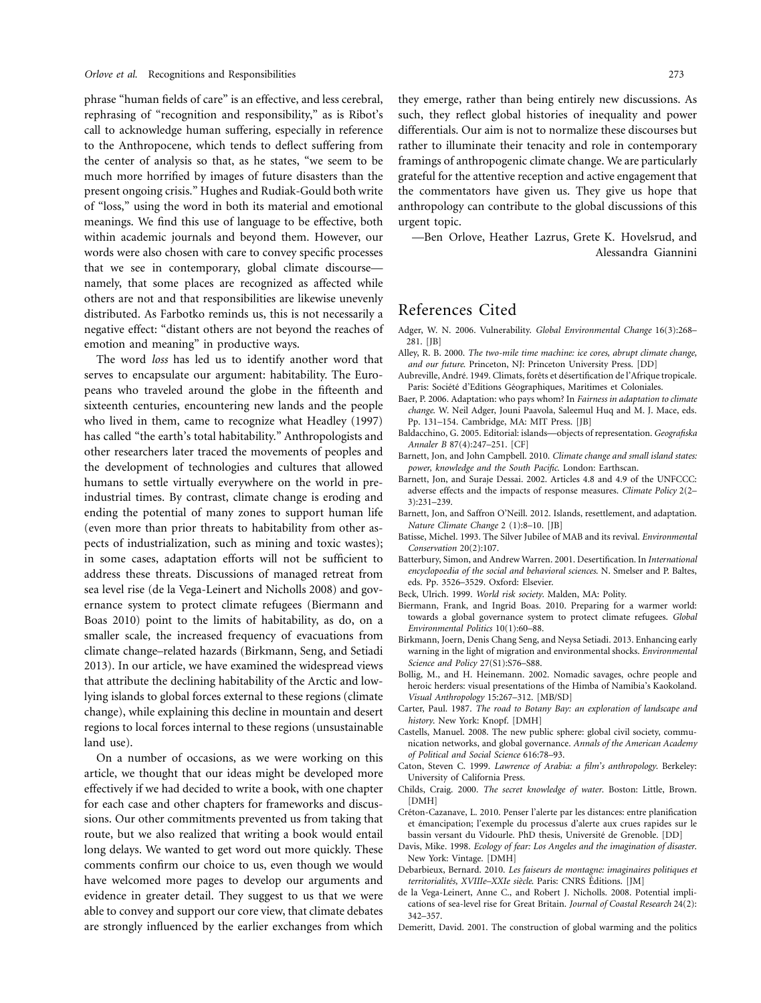phrase "human fields of care" is an effective, and less cerebral, rephrasing of "recognition and responsibility," as is Ribot's call to acknowledge human suffering, especially in reference to the Anthropocene, which tends to deflect suffering from the center of analysis so that, as he states, "we seem to be much more horrified by images of future disasters than the present ongoing crisis." Hughes and Rudiak-Gould both write of "loss," using the word in both its material and emotional meanings. We find this use of language to be effective, both within academic journals and beyond them. However, our words were also chosen with care to convey specific processes that we see in contemporary, global climate discourse namely, that some places are recognized as affected while others are not and that responsibilities are likewise unevenly distributed. As Farbotko reminds us, this is not necessarily a negative effect: "distant others are not beyond the reaches of emotion and meaning" in productive ways.

The word *loss* has led us to identify another word that serves to encapsulate our argument: habitability. The Europeans who traveled around the globe in the fifteenth and sixteenth centuries, encountering new lands and the people who lived in them, came to recognize what Headley (1997) has called "the earth's total habitability." Anthropologists and other researchers later traced the movements of peoples and the development of technologies and cultures that allowed humans to settle virtually everywhere on the world in preindustrial times. By contrast, climate change is eroding and ending the potential of many zones to support human life (even more than prior threats to habitability from other aspects of industrialization, such as mining and toxic wastes); in some cases, adaptation efforts will not be sufficient to address these threats. Discussions of managed retreat from sea level rise (de la Vega-Leinert and Nicholls 2008) and governance system to protect climate refugees (Biermann and Boas 2010) point to the limits of habitability, as do, on a smaller scale, the increased frequency of evacuations from climate change–related hazards (Birkmann, Seng, and Setiadi 2013). In our article, we have examined the widespread views that attribute the declining habitability of the Arctic and lowlying islands to global forces external to these regions (climate change), while explaining this decline in mountain and desert regions to local forces internal to these regions (unsustainable land use).

On a number of occasions, as we were working on this article, we thought that our ideas might be developed more effectively if we had decided to write a book, with one chapter for each case and other chapters for frameworks and discussions. Our other commitments prevented us from taking that route, but we also realized that writing a book would entail long delays. We wanted to get word out more quickly. These comments confirm our choice to us, even though we would have welcomed more pages to develop our arguments and evidence in greater detail. They suggest to us that we were able to convey and support our core view, that climate debates are strongly influenced by the earlier exchanges from which

they emerge, rather than being entirely new discussions. As such, they reflect global histories of inequality and power differentials. Our aim is not to normalize these discourses but rather to illuminate their tenacity and role in contemporary framings of anthropogenic climate change. We are particularly grateful for the attentive reception and active engagement that the commentators have given us. They give us hope that anthropology can contribute to the global discussions of this urgent topic.

—Ben Orlove, Heather Lazrus, Grete K. Hovelsrud, and Alessandra Giannini

## References Cited

- Adger, W. N. 2006. Vulnerability. *Global Environmental Change* 16(3):268– 281. [JB]
- Alley, R. B. 2000. *The two-mile time machine: ice cores, abrupt climate change, and our future*. Princeton, NJ: Princeton University Press. [DD]
- Aubreville, André. 1949. Climats, forêts et désertification de l'Afrique tropicale. Paris: Société d'Editions Géographiques, Maritimes et Coloniales.
- Baer, P. 2006. Adaptation: who pays whom? In *Fairness in adaptation to climate change*. W. Neil Adger, Jouni Paavola, Saleemul Huq and M. J. Mace, eds. Pp. 131–154. Cambridge, MA: MIT Press. [JB]
- Baldacchino, G. 2005. Editorial: islands—objects of representation. *Geografiska Annaler B* 87(4):247–251. [CF]
- Barnett, Jon, and John Campbell. 2010. *Climate change and small island states: power, knowledge and the South Pacific*. London: Earthscan.
- Barnett, Jon. and Suraje Dessai. 2002. Articles 4.8 and 4.9 of the UNFCCC: adverse effects and the impacts of response measures. *Climate Policy* 2(2– 3):231–239.
- Barnett, Jon, and Saffron O'Neill. 2012. Islands, resettlement, and adaptation. *Nature Climate Change* 2 (1):8–10. [JB]
- Batisse, Michel. 1993. The Silver Jubilee of MAB and its revival. *Environmental Conservation* 20(2):107.
- Batterbury, Simon, and Andrew Warren. 2001. Desertification. In *International encyclopoedia of the social and behavioral sciences*. N. Smelser and P. Baltes, eds. Pp. 3526–3529. Oxford: Elsevier.
- Beck, Ulrich. 1999. *World risk society*. Malden, MA: Polity.
- Biermann, Frank, and Ingrid Boas. 2010. Preparing for a warmer world: towards a global governance system to protect climate refugees. *Global Environmental Politics* 10(1):60–88.
- Birkmann, Joern, Denis Chang Seng, and Neysa Setiadi. 2013. Enhancing early warning in the light of migration and environmental shocks. *Environmental Science and Policy* 27(S1):S76–S88.
- Bollig, M., and H. Heinemann. 2002. Nomadic savages, ochre people and heroic herders: visual presentations of the Himba of Namibia's Kaokoland. *Visual Anthropology* 15:267–312. [MB/SD]
- Carter, Paul. 1987. *The road to Botany Bay: an exploration of landscape and history*. New York: Knopf. [DMH]
- Castells, Manuel. 2008. The new public sphere: global civil society, communication networks, and global governance. *Annals of the American Academy of Political and Social Science* 616:78–93.
- Caton, Steven C. 1999. *Lawrence of Arabia: a film's anthropology*. Berkeley: University of California Press.
- Childs, Craig. 2000. *The secret knowledge of water*. Boston: Little, Brown. [DMH]
- Créton-Cazanave, L. 2010. Penser l'alerte par les distances: entre planification et émancipation; l'exemple du processus d'alerte aux crues rapides sur le bassin versant du Vidourle. PhD thesis, Université de Grenoble. [DD]
- Davis, Mike. 1998. *Ecology of fear: Los Angeles and the imagination of disaster*. New York: Vintage. [DMH]
- Debarbieux, Bernard. 2010. *Les faiseurs de montagne: imaginaires politiques et territorialite´s, XVIIIe–XXIe sie`cle*. Paris: CNRS E´ditions. [JM]
- de la Vega-Leinert, Anne C., and Robert J. Nicholls. 2008. Potential implications of sea-level rise for Great Britain. *Journal of Coastal Research* 24(2): 342–357.
- Demeritt, David. 2001. The construction of global warming and the politics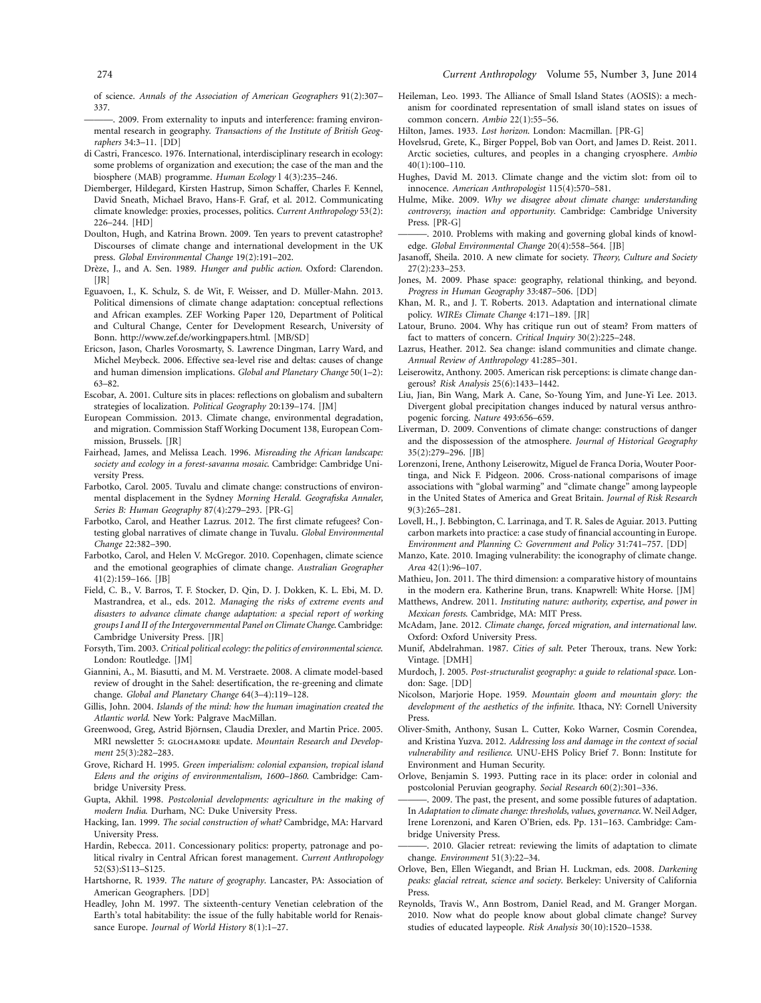of science. *Annals of the Association of American Geographers* 91(2):307– 337.

. 2009. From externality to inputs and interference: framing environmental research in geography. *Transactions of the Institute of British Geographers* 34:3–11. [DD]

- di Castri, Francesco. 1976. International, interdisciplinary research in ecology: some problems of organization and execution; the case of the man and the biosphere (MAB) programme. *Human Ecology* l 4(3):235–246.
- Diemberger, Hildegard, Kirsten Hastrup, Simon Schaffer, Charles F. Kennel, David Sneath, Michael Bravo, Hans-F. Graf, et al. 2012. Communicating climate knowledge: proxies, processes, politics. *Current Anthropology* 53(2): 226–244. [HD]
- Doulton, Hugh, and Katrina Brown. 2009. Ten years to prevent catastrophe? Discourses of climate change and international development in the UK press. *Global Environmental Change* 19(2):191–202.
- Drèze, J., and A. Sen. 1989. *Hunger and public action*. Oxford: Clarendon.  $[IR]$
- Eguavoen, I., K. Schulz, S. de Wit, F. Weisser, and D. Müller-Mahn. 2013. Political dimensions of climate change adaptation: conceptual reflections and African examples. ZEF Working Paper 120, Department of Political and Cultural Change, Center for Development Research, University of Bonn. [http://www.zef.de/workingpapers.html.](http://www.zef.de/workingpapers.html) [MB/SD]
- Ericson, Jason, Charles Vorosmarty, S. Lawrence Dingman, Larry Ward, and Michel Meybeck. 2006. Effective sea-level rise and deltas: causes of change and human dimension implications. *Global and Planetary Change* 50(1–2): 63–82.
- Escobar, A. 2001. Culture sits in places: reflections on globalism and subaltern strategies of localization. *Political Geography* 20:139–174. [JM]
- European Commission. 2013. Climate change, environmental degradation, and migration. Commission Staff Working Document 138, European Commission, Brussels. [JR]
- Fairhead, James, and Melissa Leach. 1996. *Misreading the African landscape: society and ecology in a forest-savanna mosaic*. Cambridge: Cambridge University Press.
- Farbotko, Carol. 2005. Tuvalu and climate change: constructions of environmental displacement in the Sydney *Morning Herald. Geografiska Annaler, Series B: Human Geography* 87(4):279–293. [PR-G]
- Farbotko, Carol, and Heather Lazrus. 2012. The first climate refugees? Contesting global narratives of climate change in Tuvalu. *Global Environmental Change* 22:382–390.
- Farbotko, Carol, and Helen V. McGregor. 2010. Copenhagen, climate science and the emotional geographies of climate change. *Australian Geographer* 41(2):159–166. [JB]
- Field, C. B., V. Barros, T. F. Stocker, D. Qin, D. J. Dokken, K. L. Ebi, M. D. Mastrandrea, et al., eds. 2012. *Managing the risks of extreme events and disasters to advance climate change adaptation: a special report of working groups I and II of the Intergovernmental Panel on Climate Change*. Cambridge: Cambridge University Press. [JR]
- Forsyth, Tim. 2003. *Critical political ecology: the politics of environmental science*. London: Routledge. [JM]
- Giannini, A., M. Biasutti, and M. M. Verstraete. 2008. A climate model-based review of drought in the Sahel: desertification, the re-greening and climate change. *Global and Planetary Change* 64(3–4):119–128.
- Gillis, John. 2004. *Islands of the mind: how the human imagination created the Atlantic world*. New York: Palgrave MacMillan.
- Greenwood, Greg, Astrid Björnsen, Claudia Drexler, and Martin Price. 2005. MRI newsletter 5: glochamore update. *Mountain Research and Development* 25(3):282–283.
- Grove, Richard H. 1995. *Green imperialism: colonial expansion, tropical island Edens and the origins of environmentalism, 1600–1860*. Cambridge: Cambridge University Press.
- Gupta, Akhil. 1998. *Postcolonial developments: agriculture in the making of modern India*. Durham, NC: Duke University Press.
- Hacking, Ian. 1999. *The social construction of what?* Cambridge, MA: Harvard University Press.
- Hardin, Rebecca. 2011. Concessionary politics: property, patronage and political rivalry in Central African forest management. *Current Anthropology* 52(S3):S113–S125.
- Hartshorne, R. 1939. *The nature of geography*. Lancaster, PA: Association of American Geographers. [DD]
- Headley, John M. 1997. The sixteenth-century Venetian celebration of the Earth's total habitability: the issue of the fully habitable world for Renaissance Europe. *Journal of World History* 8(1):1–27.
- Heileman, Leo. 1993. The Alliance of Small Island States (AOSIS): a mechanism for coordinated representation of small island states on issues of common concern. *Ambio* 22(1):55–56.
- Hilton, James. 1933. *Lost horizon*. London: Macmillan. [PR-G]
- Hovelsrud, Grete, K., Birger Poppel, Bob van Oort, and James D. Reist. 2011. Arctic societies, cultures, and peoples in a changing cryosphere. *Ambio* 40(1):100–110.
- Hughes, David M. 2013. Climate change and the victim slot: from oil to innocence. *American Anthropologist* 115(4):570–581.
- Hulme, Mike. 2009. *Why we disagree about climate change: understanding controversy, inaction and opportunity*. Cambridge: Cambridge University Press. [PR-G]
- -. 2010. Problems with making and governing global kinds of knowledge. *Global Environmental Change* 20(4):558–564. [JB]
- Jasanoff, Sheila. 2010. A new climate for society. *Theory, Culture and Society* 27(2):233–253.
- Jones, M. 2009. Phase space: geography, relational thinking, and beyond. *Progress in Human Geography* 33:487–506. [DD]
- Khan, M. R., and J. T. Roberts. 2013. Adaptation and international climate policy. *WIREs Climate Change* 4:171–189. [JR]
- Latour, Bruno. 2004. Why has critique run out of steam? From matters of fact to matters of concern. *Critical Inquiry* 30(2):225–248.
- Lazrus, Heather. 2012. Sea change: island communities and climate change. *Annual Review of Anthropology* 41:285–301.
- Leiserowitz, Anthony. 2005. American risk perceptions: is climate change dangerous? *Risk Analysis* 25(6):1433–1442.
- Liu, Jian, Bin Wang, Mark A. Cane, So-Young Yim, and June-Yi Lee. 2013. Divergent global precipitation changes induced by natural versus anthropogenic forcing. *Nature* 493:656–659.
- Liverman, D. 2009. Conventions of climate change: constructions of danger and the dispossession of the atmosphere. *Journal of Historical Geography* 35(2):279–296. [JB]
- Lorenzoni, Irene, Anthony Leiserowitz, Miguel de Franca Doria, Wouter Poortinga, and Nick F. Pidgeon. 2006. Cross-national comparisons of image associations with "global warming" and "climate change" among laypeople in the United States of America and Great Britain. *Journal of Risk Research* 9(3):265–281.
- Lovell, H., J. Bebbington, C. Larrinaga, and T. R. Sales de Aguiar. 2013. Putting carbon markets into practice: a case study of financial accounting in Europe. *Environment and Planning C: Government and Policy* 31:741–757. [DD]
- Manzo, Kate. 2010. Imaging vulnerability: the iconography of climate change. *Area* 42(1):96–107.
- Mathieu, Jon. 2011. The third dimension: a comparative history of mountains in the modern era. Katherine Brun, trans. Knapwrell: White Horse. [JM]
- Matthews, Andrew. 2011. *Instituting nature: authority, expertise, and power in Mexican forests*. Cambridge, MA: MIT Press.
- McAdam, Jane. 2012. *Climate change, forced migration, and international law*. Oxford: Oxford University Press.
- Munif, Abdelrahman. 1987. *Cities of salt*. Peter Theroux, trans. New York: Vintage. [DMH]
- Murdoch, J. 2005. *Post-structuralist geography: a guide to relational space*. London: Sage. [DD]
- Nicolson, Marjorie Hope. 1959. *Mountain gloom and mountain glory: the development of the aesthetics of the infinite*. Ithaca, NY: Cornell University Press.
- Oliver-Smith, Anthony, Susan L. Cutter, Koko Warner, Cosmin Corendea, and Kristina Yuzva. 2012. *Addressing loss and damage in the context of social vulnerability and resilience*. UNU-EHS Policy Brief 7. Bonn: Institute for Environment and Human Security.
- Orlove, Benjamin S. 1993. Putting race in its place: order in colonial and postcolonial Peruvian geography. *Social Research* 60(2):301–336.
- -, 2009. The past, the present, and some possible futures of adaptation. In *Adaptation to climate change: thresholds, values, governance*. W. Neil Adger, Irene Lorenzoni, and Karen O'Brien, eds. Pp. 131–163. Cambridge: Cambridge University Press.
- -. 2010. Glacier retreat: reviewing the limits of adaptation to climate change. *Environment* 51(3):22–34.
- Orlove, Ben, Ellen Wiegandt, and Brian H. Luckman, eds. 2008. *Darkening peaks: glacial retreat, science and society*. Berkeley: University of California Press.
- Reynolds, Travis W., Ann Bostrom, Daniel Read, and M. Granger Morgan. 2010. Now what do people know about global climate change? Survey studies of educated laypeople. *Risk Analysis* 30(10):1520–1538.